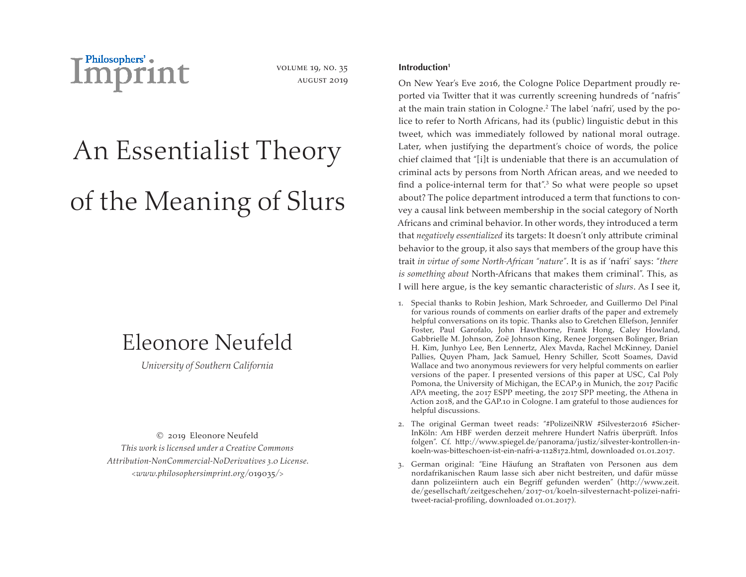

volume 19, no. 35 august 2019

# An Essentialist Theory of the Meaning of Slurs

## Eleonore Neufeld

*University of Southern California*

© 2019 Eleonore Neufeld *This work is licensed under a Creative Commons Attribution-NonCommercial-NoDerivatives 3.0 License. <www.philosophersimprint.org/*019035*/>*

### **Introduction1**

On New Year's Eve 2016, the Cologne Police Department proudly reported via Twitter that it was currently screening hundreds of "nafris" at the main train station in Cologne.2 The label 'nafri', used by the police to refer to North Africans, had its (public) linguistic debut in this tweet, which was immediately followed by national moral outrage. Later, when justifying the department's choice of words, the police chief claimed that "[i]t is undeniable that there is an accumulation of criminal acts by persons from North African areas, and we needed to find a police-internal term for that".<sup>3</sup> So what were people so upset about? The police department introduced a term that functions to convey a causal link between membership in the social category of North Africans and criminal behavior. In other words, they introduced a term that *negatively essentialized* its targets: It doesn't only attribute criminal behavior to the group, it also says that members of the group have this trait *in virtue of some North-African "nature"*. It is as if 'nafri' says: "*there is something about* North-Africans that makes them criminal". This, as I will here argue, is the key semantic characteristic of *slurs*. As I see it,

- 1. Special thanks to Robin Jeshion, Mark Schroeder, and Guillermo Del Pinal for various rounds of comments on earlier drafts of the paper and extremely helpful conversations on its topic. Thanks also to Gretchen Ellefson, Jennifer Foster, Paul Garofalo, John Hawthorne, Frank Hong, Caley Howland, Gabbrielle M. Johnson, Zoë Johnson King, Renee Jorgensen Bolinger, Brian H. Kim, Junhyo Lee, Ben Lennertz, Alex Mavda, Rachel McKinney, Daniel Pallies, Quyen Pham, Jack Samuel, Henry Schiller, Scott Soames, David Wallace and two anonymous reviewers for very helpful comments on earlier versions of the paper. I presented versions of this paper at USC, Cal Poly Pomona, the University of Michigan, the ECAP.9 in Munich, the 2017 Pacific APA meeting, the 2017 ESPP meeting, the 2017 SPP meeting, the Athena in Action 2018, and the GAP.10 in Cologne. I am grateful to those audiences for helpful discussions.
- 2. The original German tweet reads: "#PolizeiNRW #Silvester2016 #Sicher-InKöln: Am HBF werden derzeit mehrere Hundert Nafris überprüft. Infos folgen". Cf. http://www.spiegel.de/panorama/justiz/silvester-kontrollen-inkoeln-was-bitteschoen-ist-ein-nafri-a-1128172.html, downloaded 01.01.2017.
- 3. German original: "Eine Häufung an Straftaten von Personen aus dem nordafrikanischen Raum lasse sich aber nicht bestreiten, und dafür müsse dann polizeiintern auch ein Begriff gefunden werden" (http://www.zeit. de/gesellschaft/zeitgeschehen/2017-01/koeln-silvesternacht-polizei-nafritweet-racial-profiling, downloaded 01.01.2017).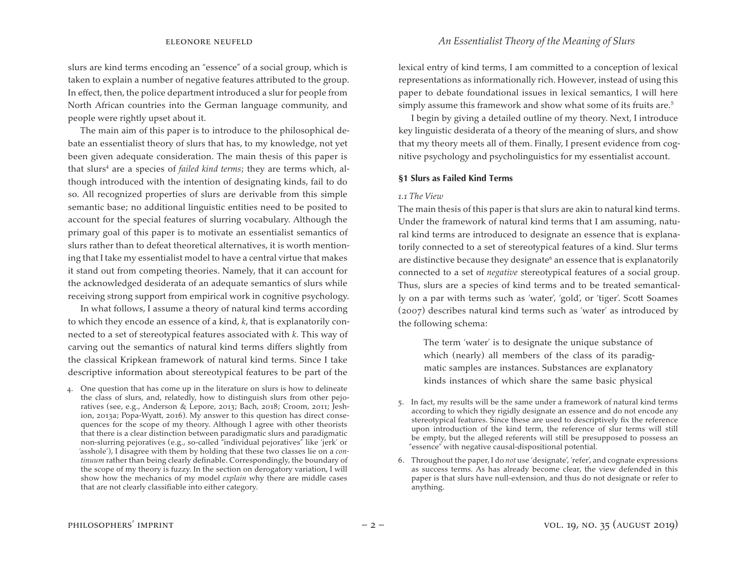slurs are kind terms encoding an "essence" of a social group, which is taken to explain a number of negative features attributed to the group. In effect, then, the police department introduced a slur for people from North African countries into the German language community, and people were rightly upset about it.

The main aim of this paper is to introduce to the philosophical debate an essentialist theory of slurs that has, to my knowledge, not yet been given adequate consideration. The main thesis of this paper is that slurs<sup>4</sup> are a species of *failed kind terms*; they are terms which, although introduced with the intention of designating kinds, fail to do so. All recognized properties of slurs are derivable from this simple semantic base; no additional linguistic entities need to be posited to account for the special features of slurring vocabulary. Although the primary goal of this paper is to motivate an essentialist semantics of slurs rather than to defeat theoretical alternatives, it is worth mentioning that I take my essentialist model to have a central virtue that makes it stand out from competing theories. Namely, that it can account for the acknowledged desiderata of an adequate semantics of slurs while receiving strong support from empirical work in cognitive psychology.

In what follows, I assume a theory of natural kind terms according to which they encode an essence of a kind, *k*, that is explanatorily connected to a set of stereotypical features associated with *k*. This way of carving out the semantics of natural kind terms differs slightly from the classical Kripkean framework of natural kind terms. Since I take descriptive information about stereotypical features to be part of the

4. One question that has come up in the literature on slurs is how to delineate the class of slurs, and, relatedly, how to distinguish slurs from other pejoratives (see, e.g., Anderson & Lepore, 2013; Bach, 2018; Croom, 2011; Jeshion, 2013a; Popa-Wyatt, 2016). My answer to this question has direct consequences for the scope of my theory. Although I agree with other theorists that there is a clear distinction between paradigmatic slurs and paradigmatic non-slurring pejoratives (e.g., so-called "individual pejoratives" like 'jerk' or 'asshole'), I disagree with them by holding that these two classes lie on a *continuum* rather than being clearly definable. Correspondingly, the boundary of the scope of my theory is fuzzy. In the section on derogatory variation, I will show how the mechanics of my model *explain* why there are middle cases that are not clearly classifiable into either category.

lexical entry of kind terms, I am committed to a conception of lexical representations as informationally rich. However, instead of using this paper to debate foundational issues in lexical semantics, I will here simply assume this framework and show what some of its fruits are.<sup>5</sup>

I begin by giving a detailed outline of my theory. Next, I introduce key linguistic desiderata of a theory of the meaning of slurs, and show that my theory meets all of them. Finally, I present evidence from cognitive psychology and psycholinguistics for my essentialist account.

#### **§1 Slurs as Failed Kind Terms**

#### *1.1 The View*

The main thesis of this paper is that slurs are akin to natural kind terms. Under the framework of natural kind terms that I am assuming, natural kind terms are introduced to designate an essence that is explanatorily connected to a set of stereotypical features of a kind. Slur terms are distinctive because they designate<sup>6</sup> an essence that is explanatorily connected to a set of *negative* stereotypical features of a social group. Thus, slurs are a species of kind terms and to be treated semantically on a par with terms such as 'water', 'gold', or 'tiger'. Scott Soames (2007) describes natural kind terms such as 'water' as introduced by the following schema:

The term 'water' is to designate the unique substance of which (nearly) all members of the class of its paradigmatic samples are instances. Substances are explanatory kinds instances of which share the same basic physical

- 5. In fact, my results will be the same under a framework of natural kind terms according to which they rigidly designate an essence and do not encode any stereotypical features. Since these are used to descriptively fix the reference upon introduction of the kind term, the reference of slur terms will still be empty, but the alleged referents will still be presupposed to possess an "essence" with negative causal-dispositional potential.
- 6. Throughout the paper, I do *not* use 'designate', 'refer', and cognate expressions as success terms. As has already become clear, the view defended in this paper is that slurs have null-extension, and thus do not designate or refer to anything.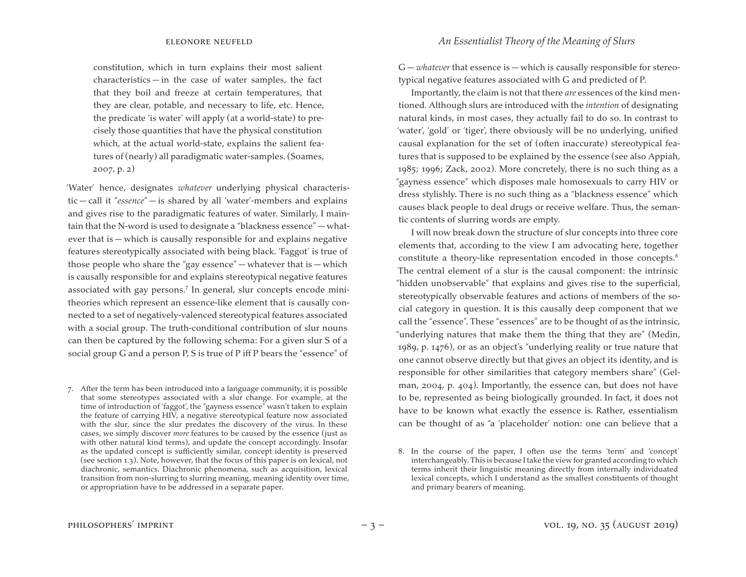constitution, which in turn explains their most salient  $characteristics - in the case of water samples, the fact$ that they boil and freeze at certain temperatures, that they are clear, potable, and necessary to life, etc. Hence, the predicate 'is water' will apply (at a world-state) to precisely those quantities that have the physical constitution which, at the actual world-state, explains the salient features of (nearly) all paradigmatic water-samples.(Soames, 2007, p. 2)

'Water' hence, designates *whatever* underlying physical characteristic — call it "*essence*" — is shared by all 'water'-members and explains and gives rise to the paradigmatic features of water. Similarly, I maintain that the N-word is used to designate a "blackness essence" — whatever that is — which is causally responsible for and explains negative features stereotypically associated with being black. 'Faggot' is true of those people who share the "gay essence" — whatever that is — which is causally responsible for and explains stereotypical negative features associated with gay persons.7 In general, slur concepts encode minitheories which represent an essence-like element that is causally connected to a set of negatively-valenced stereotypical features associated with a social group. The truth-conditional contribution of slur nouns can then be captured by the following schema: For a given slur S of a social group G and a person P, S is true of P iff P bears the "essence" of

7. After the term has been introduced into a language community, it is possible that some stereotypes associated with a slur change. For example, at the time of introduction of 'faggot', the "gayness essence" wasn't taken to explain the feature of carrying HIV, a negative stereotypical feature now associated with the slur, since the slur predates the discovery of the virus. In these cases, we simply discover *more* features to be caused by the essence (just as with other natural kind terms), and update the concept accordingly. Insofar as the updated concept is sufficiently similar, concept identity is preserved (see section 1.3). Note, however, that the focus of this paper is on lexical, not diachronic, semantics. Diachronic phenomena, such as acquisition, lexical transition from non-slurring to slurring meaning, meaning identity over time, or appropriation have to be addressed in a separate paper.

G — *whatever* that essence is — which is causally responsible for stereotypical negative features associated with G and predicted of P.

Importantly, the claim is not that there *are* essences of the kind mentioned. Although slurs are introduced with the *intention* of designating natural kinds, in most cases, they actually fail to do so. In contrast to 'water', 'gold' or 'tiger', there obviously will be no underlying, unified causal explanation for the set of (often inaccurate) stereotypical features that is supposed to be explained by the essence (see also Appiah, 1985; 1996; Zack, 2002). More concretely, there is no such thing as a "gayness essence" which disposes male homosexuals to carry HIV or dress stylishly. There is no such thing as a "blackness essence" which causes black people to deal drugs or receive welfare. Thus, the semantic contents of slurring words are empty.

I will now break down the structure of slur concepts into three core elements that, according to the view I am advocating here, together constitute a theory-like representation encoded in those concepts.<sup>8</sup> The central element of a slur is the causal component: the intrinsic "hidden unobservable" that explains and gives rise to the superficial, stereotypically observable features and actions of members of the social category in question. It is this causally deep component that we call the "essence". These "essences" are to be thought of as the intrinsic, "underlying natures that make them the thing that they are" (Medin, 1989, p. 1476), or as an object's "underlying reality or true nature that one cannot observe directly but that gives an object its identity, and is responsible for other similarities that category members share" (Gelman, 2004, p. 404). Importantly, the essence can, but does not have to be, represented as being biologically grounded. In fact, it does not have to be known what exactly the essence is*.* Rather, essentialism can be thought of as "a 'placeholder' notion: one can believe that a

<sup>8.</sup> In the course of the paper, I often use the terms 'term' and 'concept' interchangeably. This is because I take the view for granted according to which terms inherit their linguistic meaning directly from internally individuated lexical concepts, which I understand as the smallest constituents of thought and primary bearers of meaning.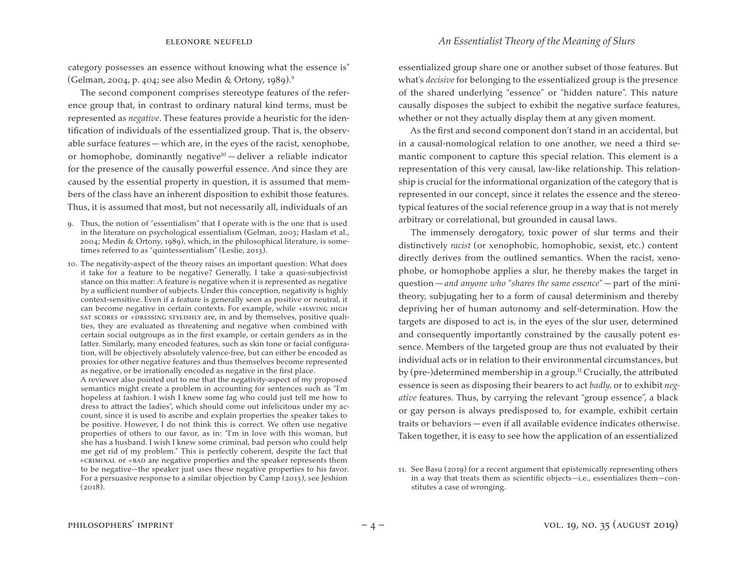category possesses an essence without knowing what the essence is" (Gelman, 2004, p. 404; see also Medin & Ortony, 1989).9

The second component comprises stereotype features of the reference group that, in contrast to ordinary natural kind terms, must be represented as *negative*. These features provide a heuristic for the identification of individuals of the essentialized group. That is, the observable surface features — which are, in the eyes of the racist, xenophobe, or homophobe, dominantly negative<sup>10</sup> - deliver a reliable indicator for the presence of the causally powerful essence. And since they are caused by the essential property in question, it is assumed that members of the class have an inherent disposition to exhibit those features. Thus, it is assumed that most, but not necessarily all, individuals of an

- 9. Thus, the notion of "essentialism" that I operate with is the one that is used in the literature on psychological essentialism (Gelman, 2003; Haslam et al., 2004; Medin & Ortony, 1989), which, in the philosophical literature, is sometimes referred to as "quintessentialism" (Leslie, 2013).
- 10. The negativity-aspect of the theory raises an important question: What does it take for a feature to be negative? Generally, I take a quasi-subjectivist stance on this matter: A feature is negative when it is represented as negative by a sufficient number of subjects. Under this conception, negativity is highly context-sensitive. Even if a feature is generally seen as positive or neutral, it can become negative in certain contexts. For example, while +HAVING HIGH sat scores or +DRESSING STYLISHLY are, in and by themselves, positive qualities, they are evaluated as threatening and negative when combined with certain social outgroups as in the first example, or certain genders as in the latter. Similarly, many encoded features, such as skin tone or facial configuration, will be objectively absolutely valence-free, but can either be encoded as proxies for other negative features and thus themselves become represented as negative, or be irrationally encoded as negative in the first place.

 A reviewer also pointed out to me that the negativity-aspect of my proposed semantics might create a problem in accounting for sentences such as "I'm hopeless at fashion. I wish I knew some fag who could just tell me how to dress to attract the ladies", which should come out infelicitous under my account, since it is used to ascribe and explain properties the speaker takes to be positive. However, I do not think this is correct. We often use negative properties of others to our favor, as in: "I'm in love with this woman, but she has a husband. I wish I knew some criminal, bad person who could help me get rid of my problem." This is perfectly coherent, despite the fact that +criminal or +bad are negative properties and the speaker represents them to be negative—the speaker just uses these negative properties to his favor. For a persuasive response to a similar objection by Camp (2013), see Jeshion  $(2018)$ .

essentialized group share one or another subset of those features. But what's *decisive* for belonging to the essentialized group is the presence of the shared underlying "essence" or "hidden nature". This nature causally disposes the subject to exhibit the negative surface features, whether or not they actually display them at any given moment.

As the first and second component don't stand in an accidental, but in a causal-nomological relation to one another, we need a third semantic component to capture this special relation. This element is a representation of this very causal, law-like relationship. This relationship is crucial for the informational organization of the category that is represented in our concept, since it relates the essence and the stereotypical features of the social reference group in a way that is not merely arbitrary or correlational, but grounded in causal laws.

The immensely derogatory, toxic power of slur terms and their distinctively *racist* (or xenophobic, homophobic, sexist, etc.) content directly derives from the outlined semantics. When the racist, xenophobe, or homophobe applies a slur, he thereby makes the target in question — *and anyone who* "*shares the same essence*" — part of the minitheory, subjugating her to a form of causal determinism and thereby depriving her of human autonomy and self-determination. How the targets are disposed to act is, in the eyes of the slur user, determined and consequently importantly constrained by the causally potent essence. Members of the targeted group are thus not evaluated by their individual acts or in relation to their environmental circumstances, but by (pre-)determined membership in a group.<sup>11</sup> Crucially, the attributed essence is seen as disposing their bearers to act *badly,* or to exhibit *negative* features. Thus, by carrying the relevant "group essence", a black or gay person is always predisposed to, for example, exhibit certain traits or behaviors — even if all available evidence indicates otherwise. Taken together, it is easy to see how the application of an essentialized

<sup>11.</sup> See Basu (2019) for a recent argument that epistemically representing others in a way that treats them as scientific objects—i.e., essentializes them—constitutes a case of wronging.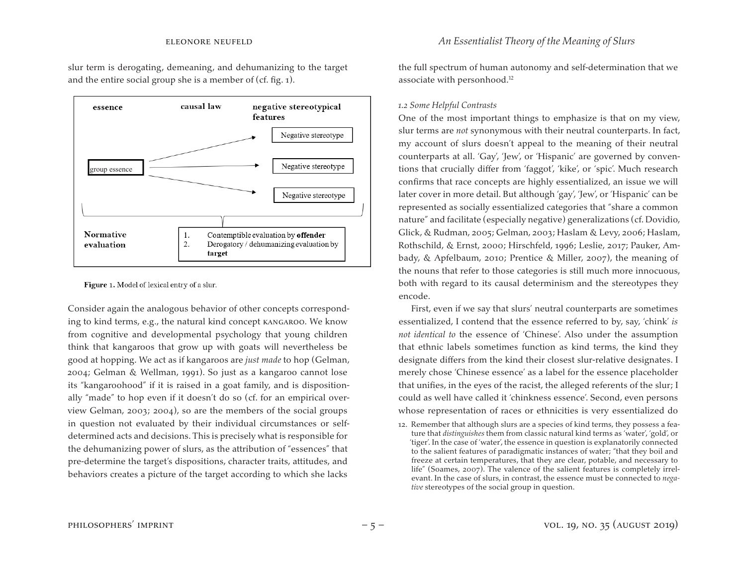slur term is derogating, demeaning, and dehumanizing to the target and the entire social group she is a member of (cf. fig. 1).



Figure 1. Model of lexical entry of a slur.

Consider again the analogous behavior of other concepts corresponding to kind terms, e.g., the natural kind concept kangaroo. We know from cognitive and developmental psychology that young children think that kangaroos that grow up with goats will nevertheless be good at hopping. We act as if kangaroos are *just made* to hop (Gelman, 2004; Gelman & Wellman, 1991). So just as a kangaroo cannot lose its "kangaroohood" if it is raised in a goat family, and is dispositionally "made" to hop even if it doesn't do so (cf. for an empirical overview Gelman, 2003; 2004), so are the members of the social groups in question not evaluated by their individual circumstances or selfdetermined acts and decisions. This is precisely what is responsible for the dehumanizing power of slurs, as the attribution of "essences" that pre-determine the target's dispositions, character traits, attitudes, and behaviors creates a picture of the target according to which she lacks

the full spectrum of human autonomy and self-determination that we associate with personhood.<sup>12</sup>

### *1.2 Some Helpful Contrasts*

One of the most important things to emphasize is that on my view, slur terms are *not* synonymous with their neutral counterparts. In fact, my account of slurs doesn't appeal to the meaning of their neutral counterparts at all. 'Gay', 'Jew', or 'Hispanic' are governed by conventions that crucially differ from 'faggot', 'kike', or 'spic'. Much research confirms that race concepts are highly essentialized, an issue we will later cover in more detail. But although 'gay', 'Jew', or 'Hispanic' can be represented as socially essentialized categories that "share a common nature" and facilitate (especially negative) generalizations (cf. Dovidio, Glick, & Rudman, 2005; Gelman, 2003; Haslam & Levy, 2006; Haslam, Rothschild, & Ernst, 2000; Hirschfeld, 1996; Leslie, 2017; Pauker, Ambady, & Apfelbaum, 2010; Prentice & Miller, 2007), the meaning of the nouns that refer to those categories is still much more innocuous, both with regard to its causal determinism and the stereotypes they encode.

First, even if we say that slurs' neutral counterparts are sometimes essentialized, I contend that the essence referred to by, say, 'chink' *is not identical to* the essence of 'Chinese'. Also under the assumption that ethnic labels sometimes function as kind terms, the kind they designate differs from the kind their closest slur-relative designates. I merely chose 'Chinese essence' as a label for the essence placeholder that unifies, in the eyes of the racist, the alleged referents of the slur; I could as well have called it 'chinkness essence'. Second, even persons whose representation of races or ethnicities is very essentialized do

12. Remember that although slurs are a species of kind terms, they possess a feature that *distinguishes* them from classic natural kind terms as 'water', 'gold', or 'tiger'. In the case of 'water', the essence in question is explanatorily connected to the salient features of paradigmatic instances of water; "that they boil and freeze at certain temperatures, that they are clear, potable, and necessary to life" (Soames, 2007). The valence of the salient features is completely irrelevant. In the case of slurs, in contrast, the essence must be connected to *negative* stereotypes of the social group in question.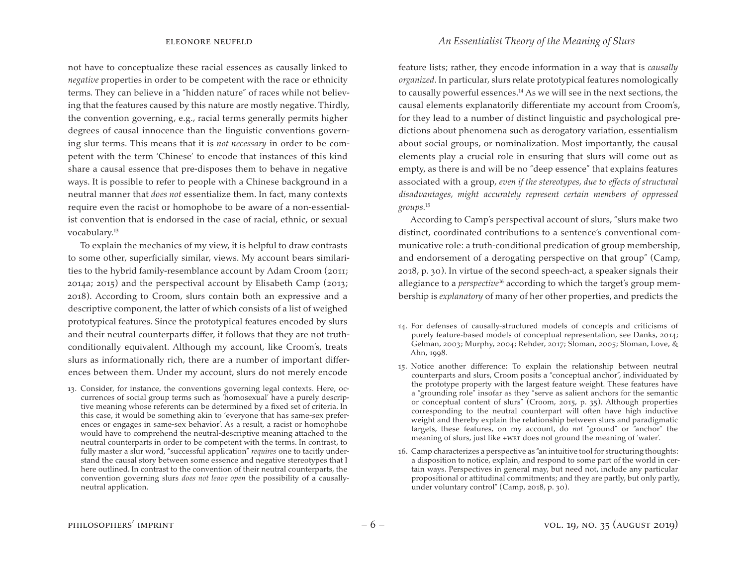not have to conceptualize these racial essences as causally linked to *negative* properties in order to be competent with the race or ethnicity terms*.* They can believe in a "hidden nature" of races while not believing that the features caused by this nature are mostly negative. Thirdly, the convention governing, e.g., racial terms generally permits higher degrees of causal innocence than the linguistic conventions governing slur terms. This means that it is *not necessary* in order to be competent with the term 'Chinese' to encode that instances of this kind share a causal essence that pre-disposes them to behave in negative ways. It is possible to refer to people with a Chinese background in a neutral manner that *does not* essentialize them. In fact, many contexts require even the racist or homophobe to be aware of a non-essentialist convention that is endorsed in the case of racial, ethnic, or sexual vocabulary.13

To explain the mechanics of my view, it is helpful to draw contrasts to some other, superficially similar, views. My account bears similarities to the hybrid family-resemblance account by Adam Croom (2011; 2014a; 2015) and the perspectival account by Elisabeth Camp (2013; 2018). According to Croom, slurs contain both an expressive and a descriptive component, the latter of which consists of a list of weighed prototypical features. Since the prototypical features encoded by slurs and their neutral counterparts differ, it follows that they are not truthconditionally equivalent. Although my account, like Croom's, treats slurs as informationally rich, there are a number of important differences between them. Under my account, slurs do not merely encode

13. Consider, for instance, the conventions governing legal contexts. Here, occurrences of social group terms such as 'homosexual' have a purely descriptive meaning whose referents can be determined by a fixed set of criteria. In this case, it would be something akin to 'everyone that has same-sex preferences or engages in same-sex behavior'. As a result, a racist or homophobe would have to comprehend the neutral-descriptive meaning attached to the neutral counterparts in order to be competent with the terms. In contrast, to fully master a slur word, "successful application" *requires* one to tacitly understand the causal story between some essence and negative stereotypes that I here outlined. In contrast to the convention of their neutral counterparts, the convention governing slurs *does not leave open* the possibility of a causallyneutral application.

feature lists; rather, they encode information in a way that is *causally organized*. In particular, slurs relate prototypical features nomologically to causally powerful essences.<sup>14</sup> As we will see in the next sections, the causal elements explanatorily differentiate my account from Croom's, for they lead to a number of distinct linguistic and psychological predictions about phenomena such as derogatory variation, essentialism about social groups, or nominalization. Most importantly, the causal elements play a crucial role in ensuring that slurs will come out as empty, as there is and will be no "deep essence" that explains features associated with a group, *even if the stereotypes, due to effects of structural disadvantages, might accurately represent certain members of oppressed groups.*<sup>15</sup>

According to Camp's perspectival account of slurs, "slurs make two distinct, coordinated contributions to a sentence's conventional communicative role: a truth-conditional predication of group membership, and endorsement of a derogating perspective on that group" (Camp, 2018, p. 30). In virtue of the second speech-act, a speaker signals their allegiance to a *perspective*<sup>16</sup> according to which the target's group membership is *explanatory* of many of her other properties, and predicts the

- 14. For defenses of causally-structured models of concepts and criticisms of purely feature-based models of conceptual representation, see Danks, 2014; Gelman, 2003; Murphy, 2004; Rehder, 2017; Sloman, 2005; Sloman, Love, & Ahn, 1998.
- 15. Notice another difference: To explain the relationship between neutral counterparts and slurs, Croom posits a "conceptual anchor", individuated by the prototype property with the largest feature weight. These features have a "grounding role" insofar as they "serve as salient anchors for the semantic or conceptual content of slurs" (Croom, 2015, p. 35). Although properties corresponding to the neutral counterpart will often have high inductive weight and thereby explain the relationship between slurs and paradigmatic targets, these features, on my account, do *not* "ground" or "anchor" the meaning of slurs, just like +wet does not ground the meaning of 'water'.
- 16. Camp characterizes a perspective as "an intuitive tool for structuring thoughts: a disposition to notice, explain, and respond to some part of the world in certain ways. Perspectives in general may, but need not, include any particular propositional or attitudinal commitments; and they are partly, but only partly, under voluntary control" (Camp, 2018, p. 30).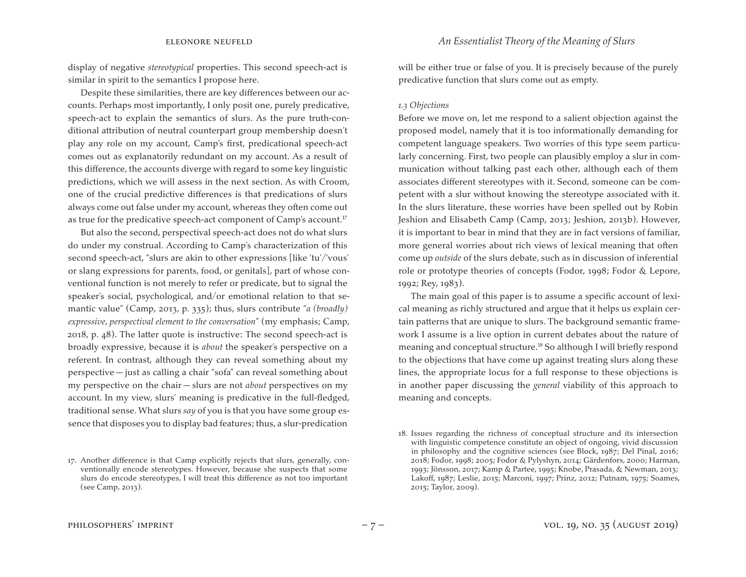display of negative *stereotypical* properties. This second speech-act is similar in spirit to the semantics I propose here.

Despite these similarities, there are key differences between our accounts. Perhaps most importantly, I only posit one, purely predicative, speech-act to explain the semantics of slurs. As the pure truth-conditional attribution of neutral counterpart group membership doesn't play any role on my account, Camp's first, predicational speech-act comes out as explanatorily redundant on my account. As a result of this difference, the accounts diverge with regard to some key linguistic predictions, which we will assess in the next section. As with Croom, one of the crucial predictive differences is that predications of slurs always come out false under my account, whereas they often come out as true for the predicative speech-act component of Camp's account.<sup>17</sup>

But also the second, perspectival speech-act does not do what slurs do under my construal. According to Camp's characterization of this second speech-act, "slurs are akin to other expressions [like 'tu'/'vous' or slang expressions for parents, food, or genitals], part of whose conventional function is not merely to refer or predicate, but to signal the speaker's social, psychological, and/or emotional relation to that semantic value" (Camp, 2013, p. 335); thus, slurs contribute "*a (broadly) expressive, perspectival element to the conversation*" (my emphasis; Camp, 2018, p. 48). The latter quote is instructive: The second speech-act is broadly expressive, because it is *about* the speaker's perspective on a referent. In contrast, although they can reveal something about my perspective — just as calling a chair "sofa" can reveal something about my perspective on the chair — slurs are not *about* perspectives on my account. In my view, slurs' meaning is predicative in the full-fledged, traditional sense. What slurs *say* of you is that you have some group essence that disposes you to display bad features; thus, a slur-predication

will be either true or false of you. It is precisely because of the purely predicative function that slurs come out as empty.

#### *1.3 Objections*

Before we move on, let me respond to a salient objection against the proposed model, namely that it is too informationally demanding for competent language speakers. Two worries of this type seem particularly concerning. First, two people can plausibly employ a slur in communication without talking past each other, although each of them associates different stereotypes with it. Second, someone can be competent with a slur without knowing the stereotype associated with it. In the slurs literature, these worries have been spelled out by Robin Jeshion and Elisabeth Camp (Camp, 2013; Jeshion, 2013b). However, it is important to bear in mind that they are in fact versions of familiar, more general worries about rich views of lexical meaning that often come up *outside* of the slurs debate, such as in discussion of inferential role or prototype theories of concepts (Fodor, 1998; Fodor & Lepore, 1992; Rey, 1983).

The main goal of this paper is to assume a specific account of lexical meaning as richly structured and argue that it helps us explain certain patterns that are unique to slurs. The background semantic framework I assume is a live option in current debates about the nature of meaning and conceptual structure.18 So although I will briefly respond to the objections that have come up against treating slurs along these lines, the appropriate locus for a full response to these objections is in another paper discussing the *general* viability of this approach to meaning and concepts.

<sup>17.</sup> Another difference is that Camp explicitly rejects that slurs, generally, conventionally encode stereotypes. However, because she suspects that some slurs do encode stereotypes, I will treat this difference as not too important (see Camp, 2013).

<sup>18.</sup> Issues regarding the richness of conceptual structure and its intersection with linguistic competence constitute an object of ongoing, vivid discussion in philosophy and the cognitive sciences (see Block, 1987; Del Pinal, 2016; 2018; Fodor, 1998; 2005; Fodor & Pylyshyn, 2014; Gärdenfors, 2000; Harman, 1993; Jönsson, 2017; Kamp & Partee, 1995; Knobe, Prasada, & Newman, 2013; Lakoff, 1987; Leslie, 2015; Marconi, 1997; Prinz, 2012; Putnam, 1975; Soames, 2015; Taylor, 2009).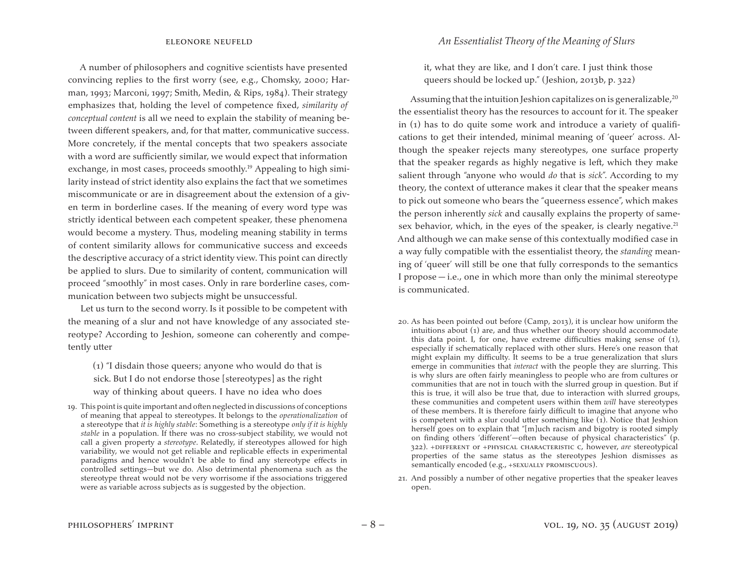A number of philosophers and cognitive scientists have presented convincing replies to the first worry (see, e.g., Chomsky, 2000; Harman, 1993; Marconi, 1997; Smith, Medin, & Rips, 1984). Their strategy emphasizes that, holding the level of competence fixed, *similarity of conceptual content* is all we need to explain the stability of meaning between different speakers, and, for that matter, communicative success. More concretely, if the mental concepts that two speakers associate with a word are sufficiently similar, we would expect that information exchange, in most cases, proceeds smoothly.<sup>19</sup> Appealing to high similarity instead of strict identity also explains the fact that we sometimes miscommunicate or are in disagreement about the extension of a given term in borderline cases. If the meaning of every word type was strictly identical between each competent speaker, these phenomena would become a mystery. Thus, modeling meaning stability in terms of content similarity allows for communicative success and exceeds the descriptive accuracy of a strict identity view. This point can directly be applied to slurs. Due to similarity of content, communication will proceed "smoothly" in most cases. Only in rare borderline cases, communication between two subjects might be unsuccessful.

Let us turn to the second worry. Is it possible to be competent with the meaning of a slur and not have knowledge of any associated stereotype? According to Jeshion, someone can coherently and competently utter

(1) "I disdain those queers; anyone who would do that is sick. But I do not endorse those [stereotypes] as the right way of thinking about queers. I have no idea who does

19. This pointis quite important and often neglected in discussions of conceptions of meaning that appeal to stereotypes. It belongs to the *operationalization* of a stereotype that *it is highly stable*: Something is a stereotype *only if it is highly stable* in a population. If there was no cross-subject stability, we would not call a given property a *stereotype*. Relatedly, if stereotypes allowed for high variability, we would not get reliable and replicable effects in experimental paradigms and hence wouldn't be able to find any stereotype effects in controlled settings—but we do. Also detrimental phenomena such as the stereotype threat would not be very worrisome if the associations triggered were as variable across subjects as is suggested by the objection.

it, what they are like, and I don't care. I just think those queers should be locked up." (Jeshion, 2013b, p. 322)

Assuming that the intuition Jeshion capitalizes on is generalizable, $20$ the essentialist theory has the resources to account for it. The speaker in (1) has to do quite some work and introduce a variety of qualifications to get their intended, minimal meaning of 'queer' across. Although the speaker rejects many stereotypes, one surface property that the speaker regards as highly negative is left, which they make salient through "anyone who would *do* that is *sick*". According to my theory, the context of utterance makes it clear that the speaker means to pick out someone who bears the "queerness essence", which makes the person inherently *sick* and causally explains the property of samesex behavior, which, in the eyes of the speaker, is clearly negative.<sup>21</sup> And although we can make sense of this contextually modified case in a way fully compatible with the essentialist theory, the *standing* meaning of 'queer' will still be one that fully corresponds to the semantics I propose  $-i.e.,$  one in which more than only the minimal stereotype is communicated.

- 20. As has been pointed out before (Camp, 2013), it is unclear how uniform the intuitions about (1) are, and thus whether our theory should accommodate this data point. I, for one, have extreme difficulties making sense of (1), especially if schematically replaced with other slurs. Here's one reason that might explain my difficulty. It seems to be a true generalization that slurs emerge in communities that *interact* with the people they are slurring. This is why slurs are often fairly meaningless to people who are from cultures or communities that are not in touch with the slurred group in question. But if this is true, it will also be true that, due to interaction with slurred groups, these communities and competent users within them *will* have stereotypes of these members. It is therefore fairly difficult to imagine that anyone who is competent with a slur could utter something like (1). Notice that Jeshion herself goes on to explain that "[m]uch racism and bigotry is rooted simply on finding others 'different'—often because of physical characteristics" (p. 322). +different or +physical characteristic c, however, *are* stereotypical properties of the same status as the stereotypes Jeshion dismisses as semantically encoded (e.g., +SEXUALLY PROMISCUOUS).
- 21. And possibly a number of other negative properties that the speaker leaves open.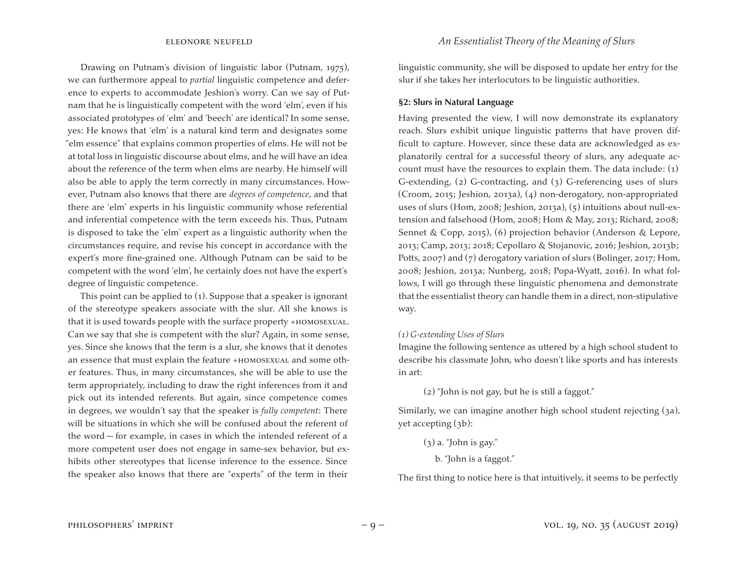Drawing on Putnam's division of linguistic labor (Putnam, 1975), we can furthermore appeal to *partial* linguistic competence and deference to experts to accommodate Jeshion's worry. Can we say of Putnam that he is linguistically competent with the word 'elm', even if his associated prototypes of 'elm' and 'beech' are identical? In some sense, yes: He knows that 'elm' is a natural kind term and designates some "elm essence" that explains common properties of elms. He will not be at total loss in linguistic discourse about elms, and he will have an idea about the reference of the term when elms are nearby. He himself will also be able to apply the term correctly in many circumstances. However, Putnam also knows that there are *degrees of competence*, and that there are 'elm' experts in his linguistic community whose referential and inferential competence with the term exceeds his. Thus, Putnam is disposed to take the 'elm' expert as a linguistic authority when the circumstances require, and revise his concept in accordance with the expert's more fine-grained one. Although Putnam can be said to be competent with the word 'elm', he certainly does not have the expert's degree of linguistic competence.

This point can be applied to (1). Suppose that a speaker is ignorant of the stereotype speakers associate with the slur. All she knows is that it is used towards people with the surface property +homosexual. Can we say that she is competent with the slur? Again, in some sense, yes. Since she knows that the term is a slur, she knows that it denotes an essence that must explain the feature +homosexual and some other features. Thus, in many circumstances, she will be able to use the term appropriately, including to draw the right inferences from it and pick out its intended referents. But again, since competence comes in degrees, we wouldn't say that the speaker is *fully competent*: There will be situations in which she will be confused about the referent of the word — for example, in cases in which the intended referent of a more competent user does not engage in same-sex behavior, but exhibits other stereotypes that license inference to the essence. Since the speaker also knows that there are "experts" of the term in their

linguistic community, she will be disposed to update her entry for the slur if she takes her interlocutors to be linguistic authorities.

#### **§2: Slurs in Natural Language**

Having presented the view, I will now demonstrate its explanatory reach. Slurs exhibit unique linguistic patterns that have proven difficult to capture. However, since these data are acknowledged as explanatorily central for a successful theory of slurs, any adequate account must have the resources to explain them. The data include: (1) G-extending, (2) G-contracting, and (3) G-referencing uses of slurs (Croom, 2015; Jeshion, 2013a), (4) non-derogatory, non-appropriated uses of slurs (Hom, 2008; Jeshion, 2013a), (5) intuitions about null-extension and falsehood (Hom, 2008; Hom & May, 2013; Richard, 2008; Sennet & Copp, 2015), (6) projection behavior (Anderson & Lepore, 2013; Camp, 2013; 2018; Cepollaro & Stojanovic, 2016; Jeshion, 2013b; Potts, 2007) and (7) derogatory variation of slurs (Bolinger, 2017; Hom, 2008; Jeshion, 2013a; Nunberg, 2018; Popa-Wyatt, 2016). In what follows, I will go through these linguistic phenomena and demonstrate that the essentialist theory can handle them in a direct, non-stipulative way.

### *(1) G-extending Uses of Slurs*

Imagine the following sentence as uttered by a high school student to describe his classmate John, who doesn't like sports and has interests in art:

(2) "John is not gay, but he is still a faggot."

Similarly, we can imagine another high school student rejecting (3a), yet accepting (3b):

- $(3)$  a. "John is gay."
	- b. "John is a faggot."

The first thing to notice here is that intuitively, it seems to be perfectly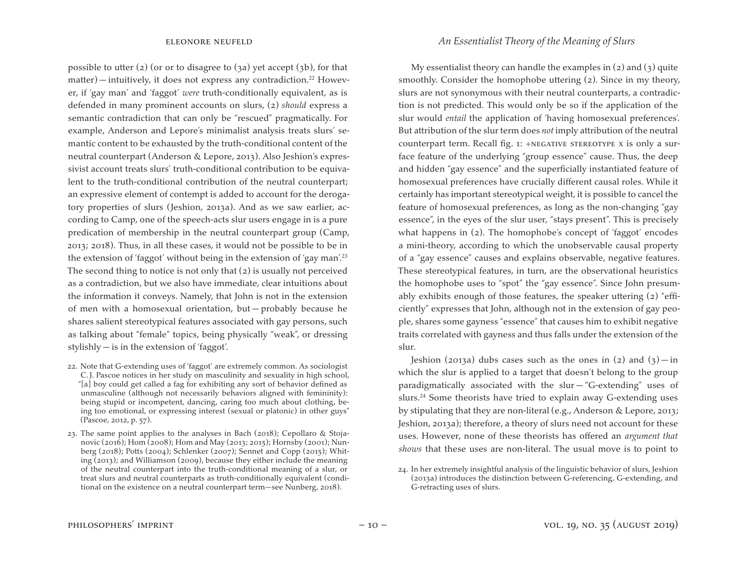possible to utter (2) (or or to disagree to (3a) yet accept (3b), for that matter) — intuitively, it does not express any contradiction.<sup>22</sup> However, if 'gay man' and 'faggot' *were* truth-conditionally equivalent, as is defended in many prominent accounts on slurs, (2) *should* express a semantic contradiction that can only be "rescued" pragmatically. For example, Anderson and Lepore's minimalist analysis treats slurs' semantic content to be exhausted by the truth-conditional content of the neutral counterpart (Anderson & Lepore, 2013). Also Jeshion's expressivist account treats slurs' truth-conditional contribution to be equivalent to the truth-conditional contribution of the neutral counterpart; an expressive element of contempt is added to account for the derogatory properties of slurs (Jeshion, 2013a). And as we saw earlier, according to Camp, one of the speech-acts slur users engage in is a pure predication of membership in the neutral counterpart group (Camp, 2013; 2018). Thus, in all these cases, it would not be possible to be in the extension of 'faggot' without being in the extension of 'gay man'.23 The second thing to notice is not only that (2) is usually not perceived as a contradiction, but we also have immediate, clear intuitions about the information it conveys. Namely, that John is not in the extension of men with a homosexual orientation, but — probably because he shares salient stereotypical features associated with gay persons, such as talking about "female" topics, being physically "weak", or dressing stylishly — is in the extension of 'faggot'.

- 22. Note that G-extending uses of 'faggot' are extremely common. As sociologist C.J. Pascoe notices in her study on masculinity and sexuality in high school, "[a] boy could get called a fag for exhibiting any sort of behavior defined as unmasculine (although not necessarily behaviors aligned with femininity): being stupid or incompetent, dancing, caring too much about clothing, being too emotional, or expressing interest (sexual or platonic) in other guys" (Pascoe, 2012, p. 57).
- 23. The same point applies to the analyses in Bach (2018); Cepollaro & Stojanovic (2016); Hom (2008); Hom and May (2013; 2015); Hornsby (2001); Nunberg (2018); Potts (2004); Schlenker (2007); Sennet and Copp (2015); Whiting (2013); and Williamson (2009), because they either include the meaning of the neutral counterpart into the truth-conditional meaning of a slur, or treat slurs and neutral counterparts as truth-conditionally equivalent (conditional on the existence on a neutral counterpart term—see Nunberg, 2018).

My essentialist theory can handle the examples in  $(2)$  and  $(3)$  quite smoothly. Consider the homophobe uttering (2). Since in my theory, slurs are not synonymous with their neutral counterparts, a contradiction is not predicted. This would only be so if the application of the slur would *entail* the application of 'having homosexual preferences'. But attribution of the slur term does *not* imply attribution of the neutral counterpart term. Recall fig. 1: +NEGATIVE STEREOTYPE X is only a surface feature of the underlying "group essence" cause. Thus, the deep and hidden "gay essence" and the superficially instantiated feature of homosexual preferences have crucially different causal roles. While it certainly has important stereotypical weight, it is possible to cancel the feature of homosexual preferences, as long as the non-changing "gay essence", in the eyes of the slur user, "stays present". This is precisely what happens in (2). The homophobe's concept of 'faggot' encodes a mini-theory, according to which the unobservable causal property of a "gay essence" causes and explains observable, negative features. These stereotypical features, in turn, are the observational heuristics the homophobe uses to "spot" the "gay essence". Since John presumably exhibits enough of those features, the speaker uttering (2) "efficiently" expresses that John, although not in the extension of gay people, shares some gayness "essence" that causes him to exhibit negative traits correlated with gayness and thus falls under the extension of the slur.

Jeshion (2013a) dubs cases such as the ones in (2) and  $(3)$  - in which the slur is applied to a target that doesn't belong to the group paradigmatically associated with the slur  $-$  "G-extending" uses of slurs.<sup>24</sup> Some theorists have tried to explain away G-extending uses by stipulating that they are non-literal (e.g., Anderson & Lepore, 2013; Jeshion, 2013a); therefore, a theory of slurs need not account for these uses. However, none of these theorists has offered an *argument that shows* that these uses are non-literal. The usual move is to point to

<sup>24.</sup> In her extremely insightful analysis of the linguistic behavior of slurs, Jeshion (2013a) introduces the distinction between G-referencing, G-extending, and G-retracting uses of slurs.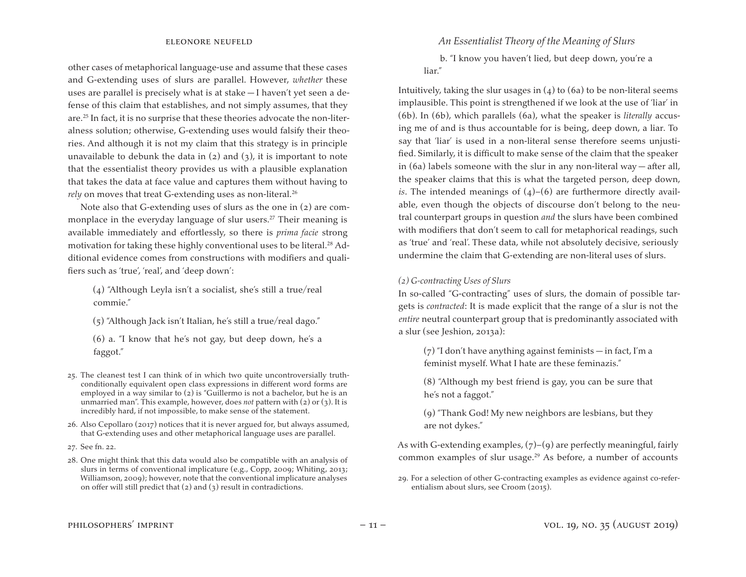other cases of metaphorical language-use and assume that these cases and G-extending uses of slurs are parallel. However, *whether* these uses are parallel is precisely what is at stake — I haven't yet seen a defense of this claim that establishes, and not simply assumes, that they are.25 In fact, it is no surprise that these theories advocate the non-literalness solution; otherwise, G-extending uses would falsify their theories. And although it is not my claim that this strategy is in principle unavailable to debunk the data in  $(2)$  and  $(3)$ , it is important to note that the essentialist theory provides us with a plausible explanation that takes the data at face value and captures them without having to *rely* on moves that treat G-extending uses as non-literal.<sup>26</sup>

Note also that G-extending uses of slurs as the one in (2) are commonplace in the everyday language of slur users.<sup>27</sup> Their meaning is available immediately and effortlessly, so there is *prima facie* strong motivation for taking these highly conventional uses to be literal.<sup>28</sup> Additional evidence comes from constructions with modifiers and qualifiers such as 'true', 'real', and 'deep down':

(4) "Although Leyla isn't a socialist, she's still a true/real commie."

(5) "Although Jack isn't Italian, he's still a true/real dago."

(6) a. "I know that he's not gay, but deep down, he's a faggot."

- $25$ . The cleanest test I can think of in which two quite uncontroversially truthconditionally equivalent open class expressions in different word forms are employed in a way similar to (2) is "Guillermo is not a bachelor, but he is an unmarried man". This example, however, does *not* pattern with (2) or (3). It is incredibly hard, if not impossible, to make sense of the statement.
- $26.$  Also Cepollaro ( $2017$ ) notices that it is never argued for, but always assumed, that G-extending uses and other metaphorical language uses are parallel.
- 27. See fn. 22.
- 28. One might think that this data would also be compatible with an analysis of slurs in terms of conventional implicature (e.g., Copp, 2009; Whiting, 2013; Williamson, 2009); however, note that the conventional implicature analyses on offer will still predict that  $(2)$  and  $(3)$  result in contradictions.

#### eleonore neufeld *An Essentialist Theory of the Meaning of Slurs*

 b. "I know you haven't lied, but deep down, you're a liar."

Intuitively, taking the slur usages in  $(4)$  to  $(6a)$  to be non-literal seems implausible. This point is strengthened if we look at the use of 'liar' in (6b). In (6b), which parallels (6a), what the speaker is *literally* accusing me of and is thus accountable for is being, deep down, a liar. To say that 'liar' is used in a non-literal sense therefore seems unjustified. Similarly, it is difficult to make sense of the claim that the speaker in (6a) labels someone with the slur in any non-literal way — after all, the speaker claims that this is what the targeted person, deep down, *is*. The intended meanings of  $(4)$ – $(6)$  are furthermore directly available, even though the objects of discourse don't belong to the neutral counterpart groups in question *and* the slurs have been combined with modifiers that don't seem to call for metaphorical readings, such as 'true' and 'real'. These data, while not absolutely decisive, seriously undermine the claim that G-extending are non-literal uses of slurs.

#### *(2) G-contracting Uses of Slurs*

In so-called "G-contracting" uses of slurs, the domain of possible targets is *contracted*: It is made explicit that the range of a slur is not the *entire* neutral counterpart group that is predominantly associated with a slur (see Jeshion, 2013a):

 $(7)$  "I don't have anything against feminists — in fact, I'm a feminist myself. What I hate are these feminazis."

(8) "Although my best friend is gay, you can be sure that he's not a faggot."

(9) "Thank God! My new neighbors are lesbians, but they are not dykes."

As with G-extending examples,  $(7)-(9)$  are perfectly meaningful, fairly common examples of slur usage.<sup>29</sup> As before, a number of accounts

29. For a selection of other G-contracting examples as evidence against co-referentialism about slurs, see Croom (2015).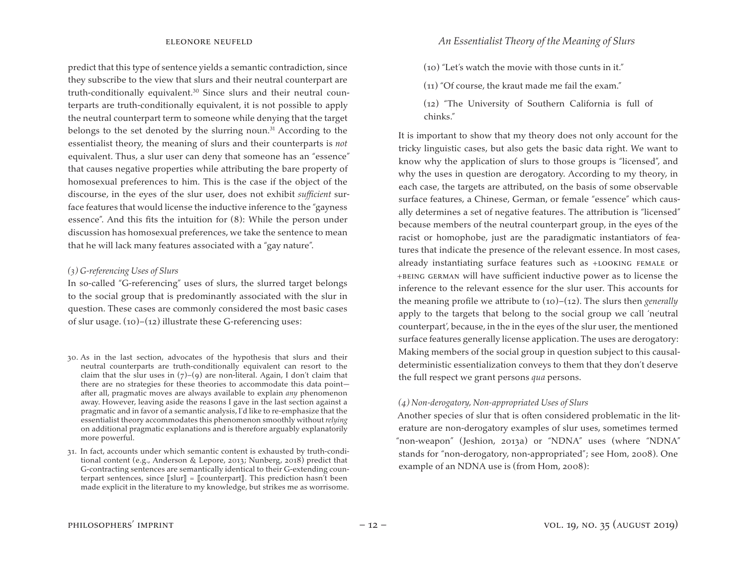predict that this type of sentence yields a semantic contradiction, since they subscribe to the view that slurs and their neutral counterpart are truth-conditionally equivalent.<sup>30</sup> Since slurs and their neutral counterparts are truth-conditionally equivalent, it is not possible to apply the neutral counterpart term to someone while denying that the target belongs to the set denoted by the slurring noun. $31$  According to the essentialist theory, the meaning of slurs and their counterparts is *not*  equivalent. Thus, a slur user can deny that someone has an "essence" that causes negative properties while attributing the bare property of homosexual preferences to him. This is the case if the object of the discourse, in the eyes of the slur user, does not exhibit *sufficient* surface features that would license the inductive inference to the "gayness essence". And this fits the intuition for (8): While the person under discussion has homosexual preferences, we take the sentence to mean that he will lack many features associated with a "gay nature".

#### *(3) G-referencing Uses of Slurs*

In so-called "G-referencing" uses of slurs, the slurred target belongs to the social group that is predominantly associated with the slur in question. These cases are commonly considered the most basic cases of slur usage.  $(10)$ – $(12)$  illustrate these G-referencing uses:

31. In fact, accounts under which semantic content is exhausted by truth-conditional content (e.g., Anderson & Lepore, 2013; Nunberg, 2018) predict that G-contracting sentences are semantically identical to their G-extending counterpart sentences, since  $[[slur]] = [[counterpart]]$ . This prediction hasn't been made explicit in the literature to my knowledge, but strikes me as worrisome.

- (10) "Let's watch the movie with those cunts in it."
- (11) "Of course, the kraut made me fail the exam."
- (12) "The University of Southern California is full of chinks."

It is important to show that my theory does not only account for the tricky linguistic cases, but also gets the basic data right. We want to know why the application of slurs to those groups is "licensed", and why the uses in question are derogatory. According to my theory, in each case, the targets are attributed, on the basis of some observable surface features, a Chinese, German, or female "essence" which causally determines a set of negative features. The attribution is "licensed" because members of the neutral counterpart group, in the eyes of the racist or homophobe, just are the paradigmatic instantiators of features that indicate the presence of the relevant essence. In most cases, already instantiating surface features such as +looking female or +being german will have sufficient inductive power as to license the inference to the relevant essence for the slur user. This accounts for the meaning profile we attribute to (10)–(12). The slurs then *generally* apply to the targets that belong to the social group we call 'neutral counterpart', because, in the in the eyes of the slur user, the mentioned surface features generally license application. The uses are derogatory: Making members of the social group in question subject to this causaldeterministic essentialization conveys to them that they don't deserve the full respect we grant persons *qua* persons.

#### *(4) Non-derogatory, Non-appropriated Uses of Slurs*

Another species of slur that is often considered problematic in the literature are non-derogatory examples of slur uses, sometimes termed "non-weapon" (Jeshion, 2013a) or "NDNA" uses (where "NDNA" stands for "non-derogatory, non-appropriated"; see Hom, 2008). One example of an NDNA use is (from Hom, 2008):

<sup>30.</sup> As in the last section, advocates of the hypothesis that slurs and their neutral counterparts are truth-conditionally equivalent can resort to the claim that the slur uses in  $(7)-(9)$  are non-literal. Again, I don't claim that there are no strategies for these theories to accommodate this data point after all, pragmatic moves are always available to explain *any* phenomenon away. However, leaving aside the reasons I gave in the last section against a pragmatic and in favor of a semantic analysis, I'd like to re-emphasize that the essentialist theory accommodates this phenomenon smoothly without *relying*  on additional pragmatic explanations and is therefore arguably explanatorily more powerful.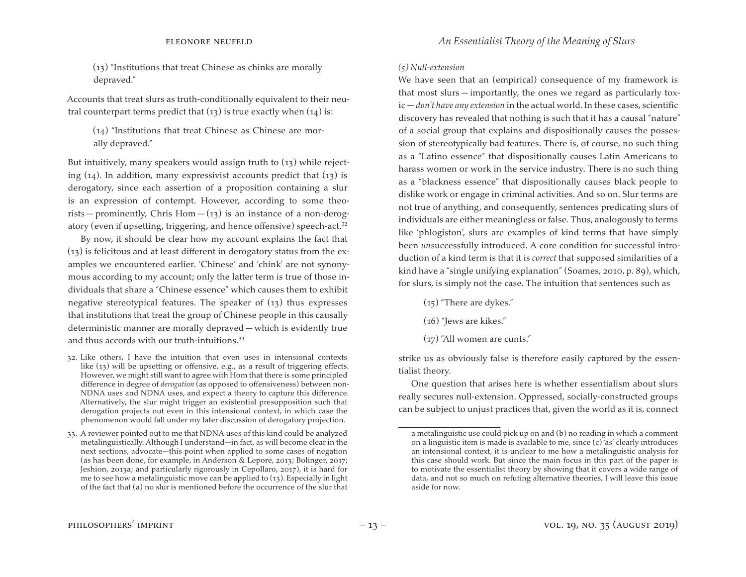(13) "Institutions that treat Chinese as chinks are morally depraved."

Accounts that treat slurs as truth-conditionally equivalent to their neutral counterpart terms predict that  $(13)$  is true exactly when  $(14)$  is:

(14) "Institutions that treat Chinese as Chinese are morally depraved."

But intuitively, many speakers would assign truth to  $(13)$  while rejecting  $(14)$ . In addition, many expressivist accounts predict that  $(13)$  is derogatory, since each assertion of a proposition containing a slur is an expression of contempt. However, according to some theorists – prominently, Chris Hom –  $(i)$  is an instance of a non-derogatory (even if upsetting, triggering, and hence offensive) speech-act.32

By now, it should be clear how my account explains the fact that (13) is felicitous and at least different in derogatory status from the examples we encountered earlier. 'Chinese' and 'chink' are not synonymous according to my account; only the latter term is true of those individuals that share a "Chinese essence" which causes them to exhibit negative stereotypical features. The speaker of  $(13)$  thus expresses that institutions that treat the group of Chinese people in this causally deterministic manner are morally depraved — which is evidently true and thus accords with our truth-intuitions.<sup>33</sup>

32. Like others, I have the intuition that even uses in intensional contexts like (13) will be upsetting or offensive, e.g., as a result of triggering effects. However, we might still want to agree with Hom that there is some principled difference in degree of *derogation* (as opposed to offensiveness) between non-NDNA uses and NDNA uses, and expect a theory to capture this difference. Alternatively, the slur might trigger an existential presupposition such that derogation projects out even in this intensional context, in which case the phenomenon would fall under my later discussion of derogatory projection.

33. A reviewer pointed out to me that NDNA uses of this kind could be analyzed metalinguistically. Although I understand—in fact, as will become clear in the next sections, advocate—this point when applied to some cases of negation (as has been done, for example, in Anderson & Lepore, 2013; Bolinger, 2017; Jeshion, 2013a; and particularly rigorously in Cepollaro, 2017), it is hard for me to see how a metalinguistic move can be applied to (13). Especially in light of the fact that (a) no slur is mentioned before the occurrence of the slur that

#### *(5) Null-extension*

We have seen that an (empirical) consequence of my framework is that most slurs — importantly, the ones we regard as particularly toxic — *don't have any extension* in the actual world.In these cases, scientific discovery has revealed that nothing is such that it has a causal "nature" of a social group that explains and dispositionally causes the possession of stereotypically bad features. There is, of course, no such thing as a "Latino essence" that dispositionally causes Latin Americans to harass women or work in the service industry. There is no such thing as a "blackness essence" that dispositionally causes black people to dislike work or engage in criminal activities. And so on. Slur terms are not true of anything, and consequently, sentences predicating slurs of individuals are either meaningless or false. Thus, analogously to terms like 'phlogiston', slurs are examples of kind terms that have simply been *un*successfully introduced. A core condition for successful introduction of a kind term is that it is *correct* that supposed similarities of a kind have a "single unifying explanation" (Soames, 2010, p. 89), which, for slurs, is simply not the case. The intuition that sentences such as

- (15) "There are dykes."
- (16) "Jews are kikes."
- (17) "All women are cunts."

strike us as obviously false is therefore easily captured by the essentialist theory.

One question that arises here is whether essentialism about slurs really secures null-extension. Oppressed, socially-constructed groups can be subject to unjust practices that, given the world as it is, connect

a metalinguistic use could pick up on and (b) no reading in which a comment on a linguistic item is made is available to me, since (c) 'as' clearly introduces an intensional context, it is unclear to me how a metalinguistic analysis for this case should work. But since the main focus in this part of the paper is to motivate the essentialist theory by showing that it covers a wide range of data, and not so much on refuting alternative theories, I will leave this issue aside for now.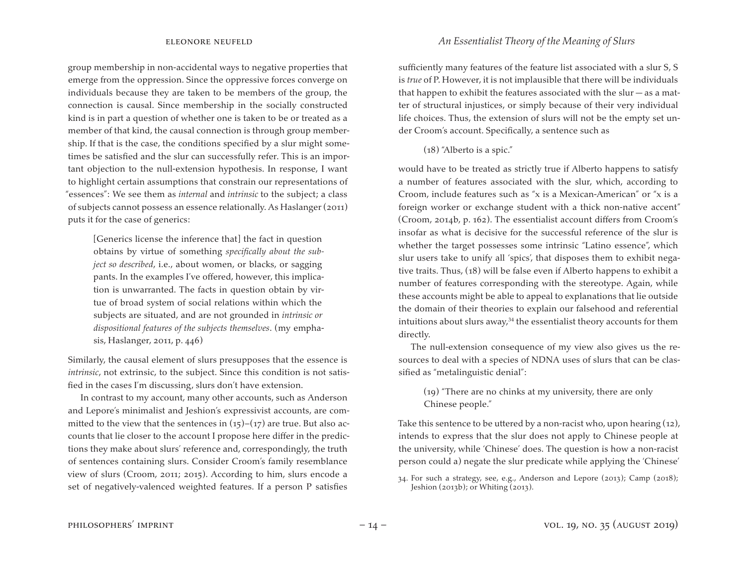group membership in non-accidental ways to negative properties that emerge from the oppression. Since the oppressive forces converge on individuals because they are taken to be members of the group, the connection is causal. Since membership in the socially constructed kind is in part a question of whether one is taken to be or treated as a member of that kind, the causal connection is through group membership. If that is the case, the conditions specified by a slur might sometimes be satisfied and the slur can successfully refer. This is an important objection to the null-extension hypothesis. In response, I want to highlight certain assumptions that constrain our representations of "essences": We see them as *internal* and *intrinsic* to the subject; a class of subjects cannot possess an essence relationally. As Haslanger (2011) puts it for the case of generics:

[Generics license the inference that] the fact in question obtains by virtue of something *specifically about the subject so described*, i.e., about women, or blacks, or sagging pants. In the examples I've offered, however, this implication is unwarranted. The facts in question obtain by virtue of broad system of social relations within which the subjects are situated, and are not grounded in *intrinsic or dispositional features of the subjects themselves*. (my emphasis, Haslanger, 2011, p. 446)

Similarly, the causal element of slurs presupposes that the essence is *intrinsic*, not extrinsic, to the subject. Since this condition is not satisfied in the cases I'm discussing, slurs don't have extension.

In contrast to my account, many other accounts, such as Anderson and Lepore's minimalist and Jeshion's expressivist accounts, are committed to the view that the sentences in  $(15)-(17)$  are true. But also accounts that lie closer to the account I propose here differ in the predictions they make about slurs' reference and, correspondingly, the truth of sentences containing slurs. Consider Croom's family resemblance view of slurs (Croom, 2011; 2015). According to him, slurs encode a set of negatively-valenced weighted features. If a person P satisfies

sufficiently many features of the feature list associated with a slur S, S is *true* of P. However, it is not implausible that there will be individuals that happen to exhibit the features associated with the slur  $-$  as a matter of structural injustices, or simply because of their very individual life choices. Thus, the extension of slurs will not be the empty set under Croom's account. Specifically, a sentence such as

(18) "Alberto is a spic."

would have to be treated as strictly true if Alberto happens to satisfy a number of features associated with the slur, which, according to Croom, include features such as "x is a Mexican-American" or "x is a foreign worker or exchange student with a thick non-native accent" (Croom, 2014b, p. 162). The essentialist account differs from Croom's insofar as what is decisive for the successful reference of the slur is whether the target possesses some intrinsic "Latino essence", which slur users take to unify all 'spics', that disposes them to exhibit negative traits. Thus, (18) will be false even if Alberto happens to exhibit a number of features corresponding with the stereotype. Again, while these accounts might be able to appeal to explanations that lie outside the domain of their theories to explain our falsehood and referential intuitions about slurs away, $34$  the essentialist theory accounts for them directly.

The null-extension consequence of my view also gives us the resources to deal with a species of NDNA uses of slurs that can be classified as "metalinguistic denial":

### (19) "There are no chinks at my university, there are only Chinese people."

Take this sentence to be uttered by a non-racist who, upon hearing  $(12)$ , intends to express that the slur does not apply to Chinese people at the university, while 'Chinese' does. The question is how a non-racist person could a) negate the slur predicate while applying the 'Chinese'

<sup>34.</sup> For such a strategy, see, e.g., Anderson and Lepore (2013); Camp (2018); Jeshion (2013b); or Whiting (2013).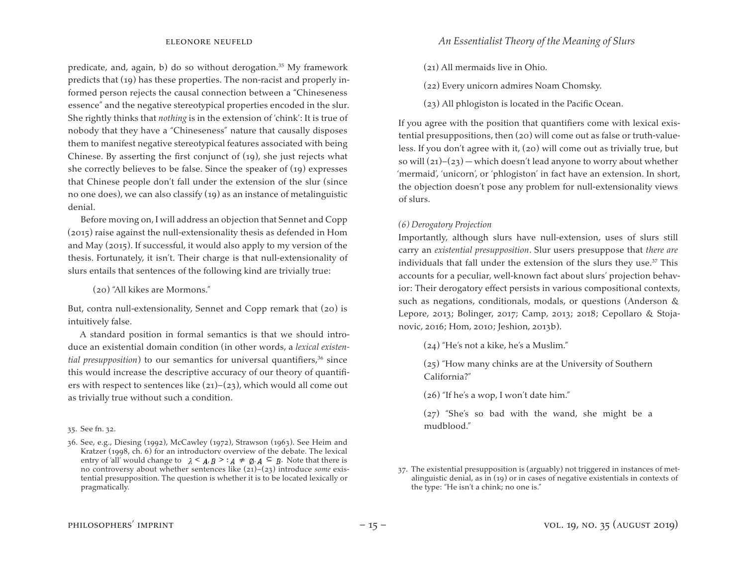predicate, and, again, b) do so without derogation.<sup>35</sup> My framework predicts that (19) has these properties. The non-racist and properly informed person rejects the causal connection between a "Chineseness essence" and the negative stereotypical properties encoded in the slur. She rightly thinks that *nothing* is in the extension of 'chink': It is true of nobody that they have a "Chineseness" nature that causally disposes them to manifest negative stereotypical features associated with being Chinese. By asserting the first conjunct of (19), she just rejects what she correctly believes to be false. Since the speaker of (19) expresses that Chinese people don't fall under the extension of the slur (since no one does), we can also classify (19) as an instance of metalinguistic denial.

Before moving on, I will address an objection that Sennet and Copp (2015) raise against the null-extensionality thesis as defended in Hom and May (2015). If successful, it would also apply to my version of the thesis. Fortunately, it isn't. Their charge is that null-extensionality of slurs entails that sentences of the following kind are trivially true:

(20) "All kikes are Mormons."

But, contra null-extensionality, Sennet and Copp remark that (20) is intuitively false.

A standard position in formal semantics is that we should introduce an existential domain condition (in other words, a *lexical existential presupposition*) to our semantics for universal quantifiers,<sup>36</sup> since this would increase the descriptive accuracy of our theory of quantifiers with respect to sentences like  $(21)$ – $(23)$ , which would all come out as trivially true without such a condition.

#### 35. See fn. 32.

- (21) All mermaids live in Ohio.
- (22) Every unicorn admires Noam Chomsky.
- (23) All phlogiston is located in the Pacific Ocean.

If you agree with the position that quantifiers come with lexical existential presuppositions, then (20) will come out as false or truth-valueless. If you don't agree with it, (20) will come out as trivially true, but so will  $(21)$ – $(23)$  – which doesn't lead anyone to worry about whether 'mermaid', 'unicorn', or 'phlogiston' in fact have an extension. In short, the objection doesn't pose any problem for null-extensionality views of slurs.

### *(6) Derogatory Projection*

Importantly, although slurs have null-extension, uses of slurs still carry an *existential presupposition*. Slur users presuppose that *there are* individuals that fall under the extension of the slurs they use.<sup>37</sup> This accounts for a peculiar, well-known fact about slurs' projection behavior: Their derogatory effect persists in various compositional contexts, such as negations, conditionals, modals, or questions (Anderson & Lepore, 2013; Bolinger, 2017; Camp, 2013; 2018; Cepollaro & Stojanovic, 2016; Hom, 2010; Jeshion, 2013b).

(24) "He's not a kike, he's a Muslim."

(25) "How many chinks are at the University of Southern California?"

(26) "If he's a wop, I won't date him."

(27) "She's so bad with the wand, she might be a mudblood."

<sup>36.</sup> See, e.g., Diesing (1992), McCawley (1972), Strawson (1963). See Heim and Kratzer (1998, ch. 6) for an introductory overview of the debate. The lexical entry of 'all' would change to  $\lambda \leq A, B \geq A \neq \emptyset, A \subseteq B$ . Note that there is no controversy about whether sentences like (21)–(23) introduce *some* existential presupposition. The question is whether it is to be located lexically or pragmatically.

<sup>37.</sup> The existential presupposition is (arguably) not triggered in instances of metalinguistic denial, as in (19) or in cases of negative existentials in contexts of the type: "He isn't a chink; no one is."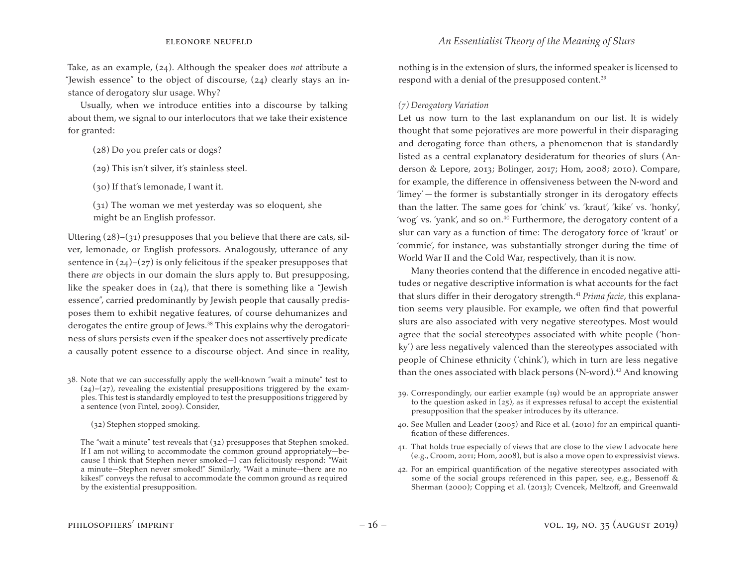Take, as an example, (24). Although the speaker does *not* attribute a "Jewish essence" to the object of discourse, (24) clearly stays an instance of derogatory slur usage. Why?

Usually, when we introduce entities into a discourse by talking about them, we signal to our interlocutors that we take their existence for granted:

- (28) Do you prefer cats or dogs?
- (29) This isn't silver, it's stainless steel.
- (30) If that's lemonade, I want it.
- (31) The woman we met yesterday was so eloquent, she might be an English professor.

Uttering  $(28)$ – $(31)$  presupposes that you believe that there are cats, silver, lemonade, or English professors. Analogously, utterance of any sentence in  $(24)$ – $(27)$  is only felicitous if the speaker presupposes that there *are* objects in our domain the slurs apply to. But presupposing, like the speaker does in  $(24)$ , that there is something like a "Jewish" essence", carried predominantly by Jewish people that causally predisposes them to exhibit negative features, of course dehumanizes and derogates the entire group of Jews.38 This explains why the derogatoriness of slurs persists even if the speaker does not assertively predicate a causally potent essence to a discourse object. And since in reality,

38. Note that we can successfully apply the well-known "wait a minute" test to  $(24)-(27)$ , revealing the existential presuppositions triggered by the examples. This test is standardly employed to test the presuppositions triggered by a sentence (von Fintel, 2009). Consider,

 (32) Stephen stopped smoking.

 The "wait a minute" test reveals that (32) presupposes that Stephen smoked. If I am not willing to accommodate the common ground appropriately—because I think that Stephen never smoked—I can felicitously respond: "Wait a minute—Stephen never smoked!" Similarly, "Wait a minute—there are no kikes!" conveys the refusal to accommodate the common ground as required by the existential presupposition.

nothing is in the extension of slurs, the informed speaker is licensed to respond with a denial of the presupposed content.<sup>39</sup>

### *(7) Derogatory Variation*

Let us now turn to the last explanandum on our list. It is widely thought that some pejoratives are more powerful in their disparaging and derogating force than others, a phenomenon that is standardly listed as a central explanatory desideratum for theories of slurs (Anderson & Lepore, 2013; Bolinger, 2017; Hom, 2008; 2010). Compare, for example, the difference in offensiveness between the N-word and 'limey' — the former is substantially stronger in its derogatory effects than the latter. The same goes for 'chink' vs. 'kraut', 'kike' vs. 'honky', 'wog' vs. 'yank', and so on.<sup>40</sup> Furthermore, the derogatory content of a slur can vary as a function of time: The derogatory force of 'kraut' or 'commie', for instance, was substantially stronger during the time of World War II and the Cold War, respectively, than it is now.

Many theories contend that the difference in encoded negative attitudes or negative descriptive information is what accounts for the fact that slurs differ in their derogatory strength.41 *Prima facie*, this explanation seems very plausible. For example, we often find that powerful slurs are also associated with very negative stereotypes. Most would agree that the social stereotypes associated with white people ('honky') are less negatively valenced than the stereotypes associated with people of Chinese ethnicity ('chink'), which in turn are less negative than the ones associated with black persons  $(N$ -word).<sup>42</sup> And knowing

- 39. Correspondingly, our earlier example (19) would be an appropriate answer to the question asked in (25), as it expresses refusal to accept the existential presupposition that the speaker introduces by its utterance.
- 40. See Mullen and Leader (2005) and Rice et al. (2010) for an empirical quantification of these differences.
- 41. That holds true especially of views that are close to the view I advocate here (e.g., Croom, 2011; Hom, 2008), but is also a move open to expressivist views.
- 42. For an empirical quantification of the negative stereotypes associated with some of the social groups referenced in this paper, see, e.g., Bessenoff & Sherman (2000); Copping et al. (2013); Cvencek, Meltzoff, and Greenwald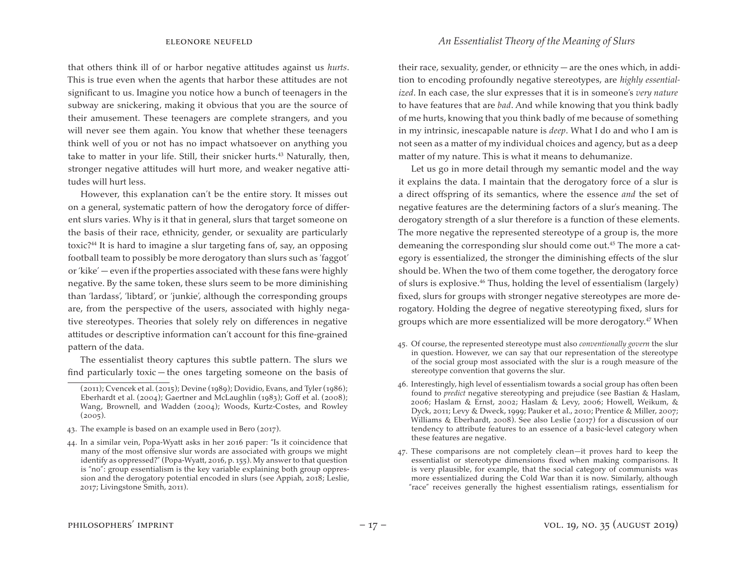that others think ill of or harbor negative attitudes against us *hurts*. This is true even when the agents that harbor these attitudes are not significant to us. Imagine you notice how a bunch of teenagers in the subway are snickering, making it obvious that you are the source of their amusement. These teenagers are complete strangers, and you will never see them again. You know that whether these teenagers think well of you or not has no impact whatsoever on anything you take to matter in your life. Still, their snicker hurts.<sup>43</sup> Naturally, then, stronger negative attitudes will hurt more, and weaker negative attitudes will hurt less.

However, this explanation can't be the entire story. It misses out on a general, systematic pattern of how the derogatory force of different slurs varies. Why is it that in general, slurs that target someone on the basis of their race, ethnicity, gender, or sexuality are particularly toxic?44 It is hard to imagine a slur targeting fans of, say, an opposing football team to possibly be more derogatory than slurs such as 'faggot' or 'kike' — even if the properties associated with these fans were highly negative. By the same token, these slurs seem to be more diminishing than 'lardass', 'libtard', or 'junkie', although the corresponding groups are, from the perspective of the users, associated with highly negative stereotypes. Theories that solely rely on differences in negative attitudes or descriptive information can't account for this fine-grained pattern of the data.

The essentialist theory captures this subtle pattern. The slurs we find particularly toxic — the ones targeting someone on the basis of their race, sexuality, gender, or ethnicity — are the ones which, in addition to encoding profoundly negative stereotypes, are *highly essentialized*. In each case, the slur expresses that it is in someone's *very nature* to have features that are *bad*. And while knowing that you think badly of me hurts, knowing that you think badly of me because of something in my intrinsic, inescapable nature is *deep*. What I do and who I am is not seen as a matter of my individual choices and agency, but as a deep matter of my nature. This is what it means to dehumanize.

Let us go in more detail through my semantic model and the way it explains the data. I maintain that the derogatory force of a slur is a direct offspring of its semantics, where the essence *and* the set of negative features are the determining factors of a slur's meaning. The derogatory strength of a slur therefore is a function of these elements. The more negative the represented stereotype of a group is, the more demeaning the corresponding slur should come out.45 The more a category is essentialized, the stronger the diminishing effects of the slur should be. When the two of them come together, the derogatory force of slurs is explosive.46 Thus, holding the level of essentialism (largely) fixed, slurs for groups with stronger negative stereotypes are more derogatory. Holding the degree of negative stereotyping fixed, slurs for groups which are more essentialized will be more derogatory.47 When

- 45. Of course, the represented stereotype must also *conventionally govern* the slur in question. However, we can say that our representation of the stereotype of the social group most associated with the slur is a rough measure of the stereotype convention that governs the slur.
- 46. Interestingly, high level of essentialism towards a social group has often been found to *predict* negative stereotyping and prejudice (see Bastian & Haslam, 2006; Haslam & Ernst, 2002; Haslam & Levy, 2006; Howell, Weikum, & Dyck, 2011; Levy & Dweck, 1999; Pauker et al., 2010; Prentice & Miller, 2007; Williams & Eberhardt, 2008). See also Leslie (2017) for a discussion of our tendency to attribute features to an essence of a basic-level category when these features are negative.
- 47. These comparisons are not completely clean—it proves hard to keep the essentialist or stereotype dimensions fixed when making comparisons. It is very plausible, for example, that the social category of communists was more essentialized during the Cold War than it is now. Similarly, although "race" receives generally the highest essentialism ratings, essentialism for

<sup>(2011);</sup> Cvencek et al.(2015); Devine (1989); Dovidio, Evans, and Tyler (1986); Eberhardt et al. (2004); Gaertner and McLaughlin (1983); Goff et al. (2008); Wang, Brownell, and Wadden (2004); Woods, Kurtz-Costes, and Rowley  $(2005)$ .

<sup>43.</sup> The example is based on an example used in Bero  $(2017)$ .

<sup>44.</sup> In a similar vein, Popa-Wyatt asks in her 2016 paper: "Is it coincidence that many of the most offensive slur words are associated with groups we might identify as oppressed?" (Popa-Wyatt, 2016, p. 155). My answer to that question is "no": group essentialism is the key variable explaining both group oppression and the derogatory potential encoded in slurs (see Appiah, 2018; Leslie, 2017; Livingstone Smith, 2011).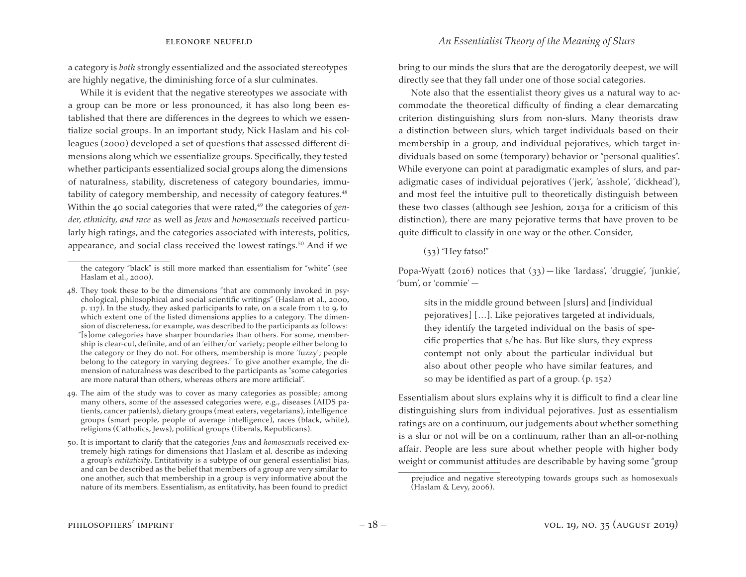a category is *both* strongly essentialized and the associated stereotypes are highly negative, the diminishing force of a slur culminates.

While it is evident that the negative stereotypes we associate with a group can be more or less pronounced, it has also long been established that there are differences in the degrees to which we essentialize social groups. In an important study, Nick Haslam and his colleagues (2000) developed a set of questions that assessed different dimensions along which we essentialize groups. Specifically, they tested whether participants essentialized social groups along the dimensions of naturalness, stability, discreteness of category boundaries, immutability of category membership, and necessity of category features.<sup>48</sup> Within the 40 social categories that were rated,<sup>49</sup> the categories of *gender, ethnicity, and race* as well as *Jews* and *homosexuals* received particularly high ratings, and the categories associated with interests, politics, appearance, and social class received the lowest ratings.<sup>50</sup> And if we

bring to our minds the slurs that are the derogatorily deepest, we will directly see that they fall under one of those social categories.

Note also that the essentialist theory gives us a natural way to accommodate the theoretical difficulty of finding a clear demarcating criterion distinguishing slurs from non-slurs. Many theorists draw a distinction between slurs, which target individuals based on their membership in a group, and individual pejoratives, which target individuals based on some (temporary) behavior or "personal qualities". While everyone can point at paradigmatic examples of slurs, and paradigmatic cases of individual pejoratives ('jerk', 'asshole', 'dickhead'), and most feel the intuitive pull to theoretically distinguish between these two classes (although see Jeshion, 2013a for a criticism of this distinction), there are many pejorative terms that have proven to be quite difficult to classify in one way or the other. Consider,

#### $(33)$  "Hey fatso!"

Popa-Wyatt (2016) notices that (33) — like 'lardass', 'druggie', 'junkie', 'bum', or 'commie' —

sits in the middle ground between [slurs] and [individual pejoratives] […]. Like pejoratives targeted at individuals, they identify the targeted individual on the basis of specific properties that s/he has. But like slurs, they express contempt not only about the particular individual but also about other people who have similar features, and so may be identified as part of a group. (p. 152)

Essentialism about slurs explains why it is difficult to find a clear line distinguishing slurs from individual pejoratives. Just as essentialism ratings are on a continuum, our judgements about whether something is a slur or not will be on a continuum, rather than an all-or-nothing affair. People are less sure about whether people with higher body weight or communist attitudes are describable by having some "group

the category "black" is still more marked than essentialism for "white" (see Haslam et al., 2000).

<sup>48.</sup> They took these to be the dimensions "that are commonly invoked in psychological, philosophical and social scientific writings" (Haslam et al., 2000, p. 117). In the study, they asked participants to rate, on a scale from 1 to 9, to which extent one of the listed dimensions applies to a category. The dimension of discreteness, for example, was described to the participants as follows: "[s]ome categories have sharper boundaries than others. For some, membership is clear-cut, definite, and of an 'either/or' variety; people either belong to the category or they do not. For others, membership is more 'fuzzy'; people belong to the category in varying degrees." To give another example, the dimension of naturalness was described to the participants as "some categories are more natural than others, whereas others are more artificial".

<sup>49.</sup> The aim of the study was to cover as many categories as possible; among many others, some of the assessed categories were, e.g., diseases (AIDS patients, cancer patients), dietary groups (meat eaters, vegetarians), intelligence groups (smart people, people of average intelligence), races (black, white), religions (Catholics, Jews), political groups (liberals, Republicans).

<sup>50.</sup> It is important to clarify that the categories *Jews* and *homosexuals* received extremely high ratings for dimensions that Haslam et al. describe as indexing a group's *entitativity*. Entitativity is a subtype of our general essentialist bias, and can be described as the belief that members of a group are very similar to one another, such that membership in a group is very informative about the nature of its members. Essentialism, as entitativity, has been found to predict

prejudice and negative stereotyping towards groups such as homosexuals (Haslam & Levy, 2006).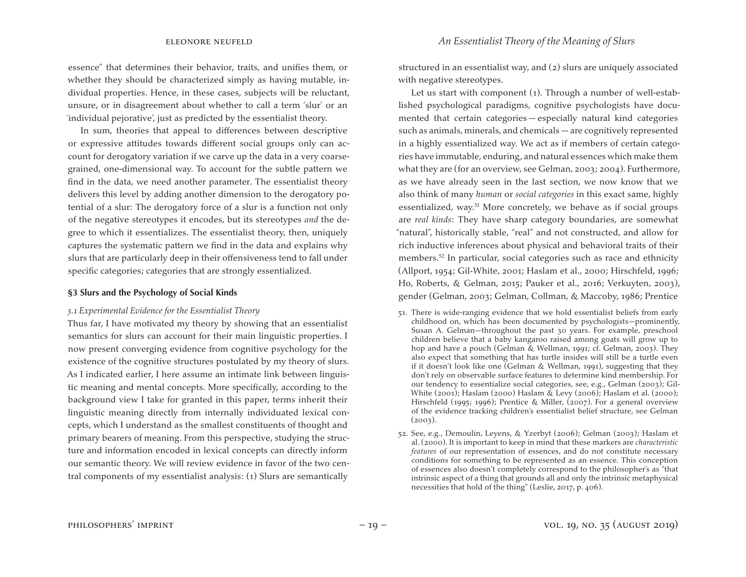essence" that determines their behavior, traits, and unifies them, or whether they should be characterized simply as having mutable, individual properties. Hence, in these cases, subjects will be reluctant, unsure, or in disagreement about whether to call a term 'slur' or an 'individual pejorative', just as predicted by the essentialist theory.

In sum, theories that appeal to differences between descriptive or expressive attitudes towards different social groups only can account for derogatory variation if we carve up the data in a very coarsegrained, one-dimensional way. To account for the subtle pattern we find in the data, we need another parameter. The essentialist theory delivers this level by adding another dimension to the derogatory potential of a slur: The derogatory force of a slur is a function not only of the negative stereotypes it encodes, but its stereotypes *and* the degree to which it essentializes. The essentialist theory, then, uniquely captures the systematic pattern we find in the data and explains why slurs that are particularly deep in their offensiveness tend to fall under specific categories; categories that are strongly essentialized.

#### **§3 Slurs and the Psychology of Social Kinds**

#### *3.1 Experimental Evidence for the Essentialist Theory*

Thus far, I have motivated my theory by showing that an essentialist semantics for slurs can account for their main linguistic properties. I now present converging evidence from cognitive psychology for the existence of the cognitive structures postulated by my theory of slurs. As I indicated earlier, I here assume an intimate link between linguistic meaning and mental concepts. More specifically, according to the background view I take for granted in this paper, terms inherit their linguistic meaning directly from internally individuated lexical concepts, which I understand as the smallest constituents of thought and primary bearers of meaning. From this perspective, studying the structure and information encoded in lexical concepts can directly inform our semantic theory. We will review evidence in favor of the two central components of my essentialist analysis: (1) Slurs are semantically

structured in an essentialist way, and (2) slurs are uniquely associated with negative stereotypes.

Let us start with component (1). Through a number of well-established psychological paradigms, cognitive psychologists have documented that certain categories — especially natural kind categories such as animals, minerals, and chemicals  $-$  are cognitively represented in a highly essentialized way. We act as if members of certain categories have immutable, enduring, and natural essences which make them what they are (for an overview, see Gelman, 2003; 2004). Furthermore, as we have already seen in the last section, we now know that we also think of many *human* or *social categories* in this exact same, highly essentialized, way.<sup>51</sup> More concretely, we behave as if social groups are *real kinds*: They have sharp category boundaries, are somewhat "natural", historically stable, "real" and not constructed, and allow for rich inductive inferences about physical and behavioral traits of their members.<sup>52</sup> In particular, social categories such as race and ethnicity (Allport, 1954; Gil‐White, 2001; Haslam et al., 2000; Hirschfeld, 1996; Ho, Roberts, & Gelman, 2015; Pauker et al., 2016; Verkuyten, 2003), gender (Gelman, 2003; Gelman, Collman, & Maccoby, 1986; Prentice

- 51. There is wide-ranging evidence that we hold essentialist beliefs from early childhood on, which has been documented by psychologists—prominently, Susan A. Gelman—throughout the past 30 years. For example, preschool children believe that a baby kangaroo raised among goats will grow up to hop and have a pouch (Gelman & Wellman, 1991; cf. Gelman, 2003). They also expect that something that has turtle insides will still be a turtle even if it doesn't look like one (Gelman & Wellman, 1991), suggesting that they don't rely on observable surface features to determine kind membership. For our tendency to essentialize social categories, see, e.g., Gelman (2003); Gil‐ White (2001); Haslam (2000) Haslam & Levy (2006); Haslam et al. (2000); Hirschfeld (1995; 1996); Prentice & Miller, (2007). For a general overview of the evidence tracking children's essentialist belief structure, see Gelman  $(2003)$ .
- 52. See, e.g., Demoulin, Leyens, & Yzerbyt (2006); Gelman (2003); Haslam et al. (2000). It is important to keep in mind that these markers are *characteristic features* of our representation of essences, and do not constitute necessary conditions for something to be represented as an essence. This conception of essences also doesn't completely correspond to the philosopher's as "that intrinsic aspect of a thing that grounds all and only the intrinsic metaphysical necessities that hold of the thing" (Leslie, 2017, p. 406).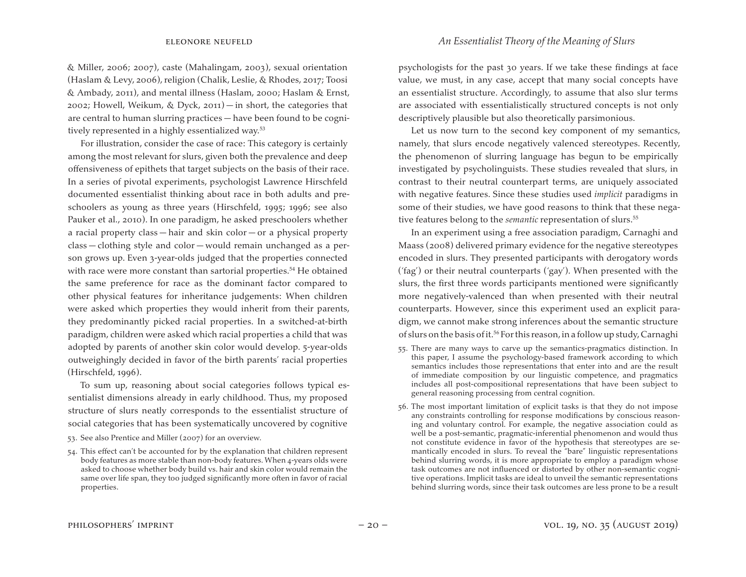& Miller, 2006; 2007), caste (Mahalingam, 2003), sexual orientation (Haslam & Levy, 2006), religion (Chalik, Leslie, & Rhodes, 2017; Toosi & Ambady, 2011), and mental illness (Haslam, 2000; Haslam & Ernst, 2002; Howell, Weikum, & Dyck, 2011) — in short, the categories that are central to human slurring practices — have been found to be cognitively represented in a highly essentialized way.<sup>53</sup>

For illustration, consider the case of race: This category is certainly among the most relevant for slurs, given both the prevalence and deep offensiveness of epithets that target subjects on the basis of their race. In a series of pivotal experiments, psychologist Lawrence Hirschfeld documented essentialist thinking about race in both adults and preschoolers as young as three years (Hirschfeld, 1995; 1996; see also Pauker et al., 2010). In one paradigm, he asked preschoolers whether a racial property class — hair and skin color — or a physical property class — clothing style and color — would remain unchanged as a person grows up. Even 3-year-olds judged that the properties connected with race were more constant than sartorial properties.<sup>54</sup> He obtained the same preference for race as the dominant factor compared to other physical features for inheritance judgements: When children were asked which properties they would inherit from their parents, they predominantly picked racial properties. In a switched-at-birth paradigm, children were asked which racial properties a child that was adopted by parents of another skin color would develop. 5-year-olds outweighingly decided in favor of the birth parents' racial properties (Hirschfeld, 1996).

To sum up, reasoning about social categories follows typical essentialist dimensions already in early childhood. Thus, my proposed structure of slurs neatly corresponds to the essentialist structure of social categories that has been systematically uncovered by cognitive

53. See also Prentice and Miller (2007) for an overview.

psychologists for the past 30 years. If we take these findings at face value, we must, in any case, accept that many social concepts have an essentialist structure. Accordingly, to assume that also slur terms are associated with essentialistically structured concepts is not only descriptively plausible but also theoretically parsimonious.

Let us now turn to the second key component of my semantics, namely, that slurs encode negatively valenced stereotypes. Recently, the phenomenon of slurring language has begun to be empirically investigated by psycholinguists. These studies revealed that slurs, in contrast to their neutral counterpart terms, are uniquely associated with negative features. Since these studies used *implicit* paradigms in some of their studies, we have good reasons to think that these negative features belong to the *semantic* representation of slurs.<sup>55</sup>

In an experiment using a free association paradigm, Carnaghi and Maass (2008) delivered primary evidence for the negative stereotypes encoded in slurs. They presented participants with derogatory words ('fag') or their neutral counterparts ('gay'). When presented with the slurs, the first three words participants mentioned were significantly more negatively-valenced than when presented with their neutral counterparts. However, since this experiment used an explicit paradigm, we cannot make strong inferences about the semantic structure of slurs on the basis of it.<sup>56</sup> For this reason, in a follow up study, Carnaghi

- 55. There are many ways to carve up the semantics-pragmatics distinction. In this paper, I assume the psychology-based framework according to which semantics includes those representations that enter into and are the result of immediate composition by our linguistic competence, and pragmatics includes all post-compositional representations that have been subject to general reasoning processing from central cognition.
- 56. The most important limitation of explicit tasks is that they do not impose any constraints controlling for response modifications by conscious reasoning and voluntary control. For example, the negative association could as well be a post-semantic, pragmatic-inferential phenomenon and would thus not constitute evidence in favor of the hypothesis that stereotypes are semantically encoded in slurs. To reveal the "bare" linguistic representations behind slurring words, it is more appropriate to employ a paradigm whose task outcomes are not influenced or distorted by other non-semantic cognitive operations. Implicit tasks are ideal to unveil the semantic representations behind slurring words, since their task outcomes are less prone to be a result

<sup>54.</sup> This effect can't be accounted for by the explanation that children represent body features as more stable than non-body features. When 4-years olds were asked to choose whether body build vs. hair and skin color would remain the same over life span, they too judged significantly more often in favor of racial properties.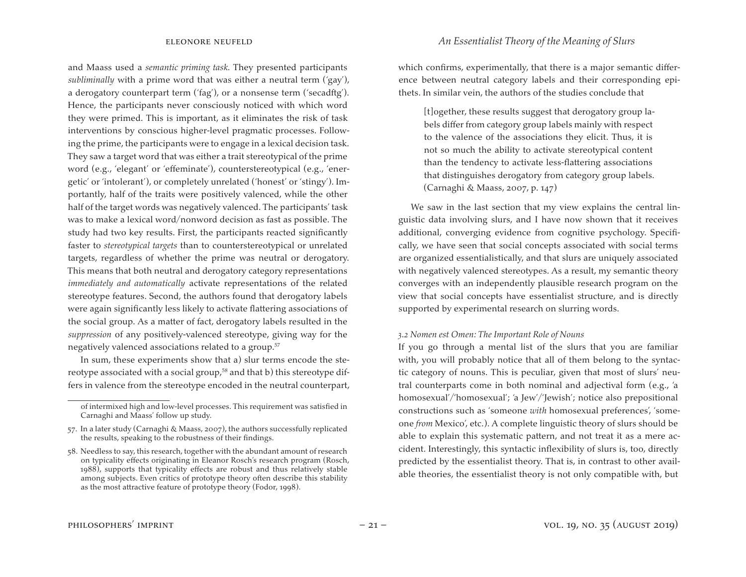#### eleonore neufeld *An Essentialist Theory of the Meaning of Slurs*

and Maass used a *semantic priming task.* They presented participants *subliminally* with a prime word that was either a neutral term ('gay'), a derogatory counterpart term ('fag'), or a nonsense term ('secadftg'). Hence, the participants never consciously noticed with which word they were primed. This is important, as it eliminates the risk of task interventions by conscious higher-level pragmatic processes. Following the prime, the participants were to engage in a lexical decision task. They saw a target word that was either a trait stereotypical of the prime word (e.g., 'elegant' or 'effeminate'), counterstereotypical (e.g., 'energetic' or 'intolerant'), or completely unrelated ('honest' or 'stingy'). Importantly, half of the traits were positively valenced, while the other half of the target words was negatively valenced. The participants' task was to make a lexical word/nonword decision as fast as possible. The study had two key results. First, the participants reacted significantly faster to *stereotypical targets* than to counterstereotypical or unrelated targets, regardless of whether the prime was neutral or derogatory. This means that both neutral and derogatory category representations *immediately and automatically* activate representations of the related stereotype features. Second, the authors found that derogatory labels were again significantly less likely to activate flattering associations of the social group. As a matter of fact, derogatory labels resulted in the *suppression* of any positively-valenced stereotype, giving way for the negatively valenced associations related to a group.57

In sum, these experiments show that a) slur terms encode the stereotype associated with a social group,<sup>58</sup> and that b) this stereotype differs in valence from the stereotype encoded in the neutral counterpart,

[t]ogether, these results suggest that derogatory group labels differ from category group labels mainly with respect to the valence of the associations they elicit. Thus, it is not so much the ability to activate stereotypical content than the tendency to activate less-flattering associations that distinguishes derogatory from category group labels. (Carnaghi & Maass, 2007, p. 147)

We saw in the last section that my view explains the central linguistic data involving slurs, and I have now shown that it receives additional, converging evidence from cognitive psychology. Specifically, we have seen that social concepts associated with social terms are organized essentialistically, and that slurs are uniquely associated with negatively valenced stereotypes. As a result, my semantic theory converges with an independently plausible research program on the view that social concepts have essentialist structure, and is directly supported by experimental research on slurring words.

#### *3.2 Nomen est Omen: The Important Role of Nouns*

If you go through a mental list of the slurs that you are familiar with, you will probably notice that all of them belong to the syntactic category of nouns. This is peculiar, given that most of slurs' neutral counterparts come in both nominal and adjectival form (e.g., 'a homosexual'/'homosexual'; 'a Jew'/'Jewish'; notice also prepositional constructions such as 'someone *with* homosexual preferences', 'someone *from* Mexico', etc.). A complete linguistic theory of slurs should be able to explain this systematic pattern, and not treat it as a mere accident. Interestingly, this syntactic inflexibility of slurs is, too, directly predicted by the essentialist theory. That is, in contrast to other available theories, the essentialist theory is not only compatible with, but

of intermixed high and low-level processes. This requirement was satisfied in Carnaghi and Maass' follow up study.

<sup>57.</sup> In a later study (Carnaghi & Maass, 2007), the authors successfully replicated the results, speaking to the robustness of their findings.

<sup>58.</sup> Needless to say, this research, together with the abundant amount of research on typicality effects originating in Eleanor Rosch's research program (Rosch, 1988), supports that typicality effects are robust and thus relatively stable among subjects. Even critics of prototype theory often describe this stability as the most attractive feature of prototype theory (Fodor, 1998).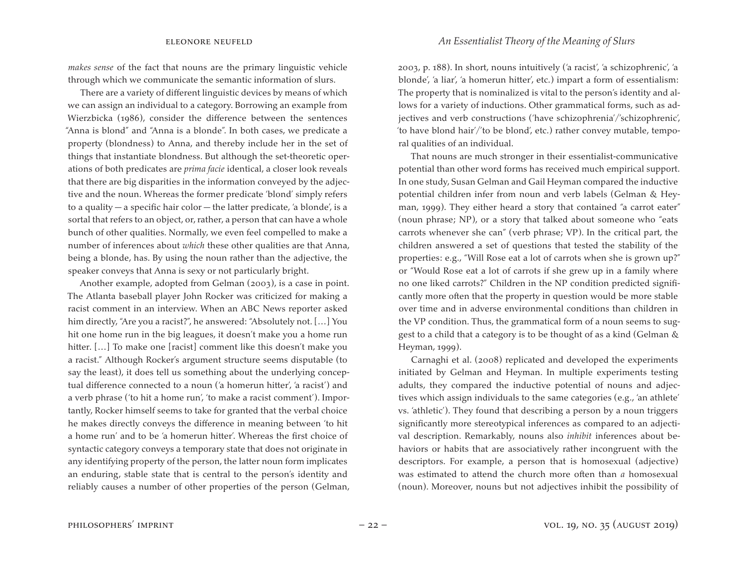*makes sense* of the fact that nouns are the primary linguistic vehicle through which we communicate the semantic information of slurs.

There are a variety of different linguistic devices by means of which we can assign an individual to a category. Borrowing an example from Wierzbicka (1986), consider the difference between the sentences "Anna is blond" and "Anna is a blonde". In both cases, we predicate a property (blondness) to Anna, and thereby include her in the set of things that instantiate blondness. But although the set-theoretic operations of both predicates are *prima facie* identical, a closer look reveals that there are big disparities in the information conveyed by the adjective and the noun. Whereas the former predicate 'blond' simply refers to a quality — a specific hair color — the latter predicate, 'a blonde', is a sortal that refers to an object, or, rather, a person that can have a whole bunch of other qualities. Normally, we even feel compelled to make a number of inferences about *which* these other qualities are that Anna, being a blonde, has. By using the noun rather than the adjective, the speaker conveys that Anna is sexy or not particularly bright.

Another example, adopted from Gelman (2003), is a case in point. The Atlanta baseball player John Rocker was criticized for making a racist comment in an interview. When an ABC News reporter asked him directly, "Are you a racist?", he answered: "Absolutely not. […] You hit one home run in the big leagues, it doesn't make you a home run hitter. [...] To make one [racist] comment like this doesn't make you a racist." Although Rocker's argument structure seems disputable (to say the least), it does tell us something about the underlying conceptual difference connected to a noun ('a homerun hitter', 'a racist') and a verb phrase ('to hit a home run', 'to make a racist comment'). Importantly, Rocker himself seems to take for granted that the verbal choice he makes directly conveys the difference in meaning between 'to hit a home run' and to be 'a homerun hitter'. Whereas the first choice of syntactic category conveys a temporary state that does not originate in any identifying property of the person, the latter noun form implicates an enduring, stable state that is central to the person's identity and reliably causes a number of other properties of the person (Gelman,

2003, p. 188). In short, nouns intuitively ('a racist', 'a schizophrenic', 'a blonde', 'a liar', 'a homerun hitter', etc.) impart a form of essentialism: The property that is nominalized is vital to the person's identity and allows for a variety of inductions. Other grammatical forms, such as adjectives and verb constructions ('have schizophrenia'/'schizophrenic', 'to have blond hair'/'to be blond', etc.) rather convey mutable, temporal qualities of an individual.

That nouns are much stronger in their essentialist-communicative potential than other word forms has received much empirical support. In one study, Susan Gelman and Gail Heyman compared the inductive potential children infer from noun and verb labels (Gelman & Heyman, 1999). They either heard a story that contained "a carrot eater" (noun phrase; NP), or a story that talked about someone who "eats carrots whenever she can" (verb phrase; VP). In the critical part, the children answered a set of questions that tested the stability of the properties: e.g., "Will Rose eat a lot of carrots when she is grown up?" or "Would Rose eat a lot of carrots if she grew up in a family where no one liked carrots?" Children in the NP condition predicted significantly more often that the property in question would be more stable over time and in adverse environmental conditions than children in the VP condition. Thus, the grammatical form of a noun seems to suggest to a child that a category is to be thought of as a kind (Gelman & Heyman, 1999).

Carnaghi et al. (2008) replicated and developed the experiments initiated by Gelman and Heyman. In multiple experiments testing adults, they compared the inductive potential of nouns and adjectives which assign individuals to the same categories (e.g., 'an athlete' vs. 'athletic'). They found that describing a person by a noun triggers significantly more stereotypical inferences as compared to an adjectival description. Remarkably, nouns also *inhibit* inferences about behaviors or habits that are associatively rather incongruent with the descriptors. For example, a person that is homosexual (adjective) was estimated to attend the church more often than *a* homosexual (noun). Moreover, nouns but not adjectives inhibit the possibility of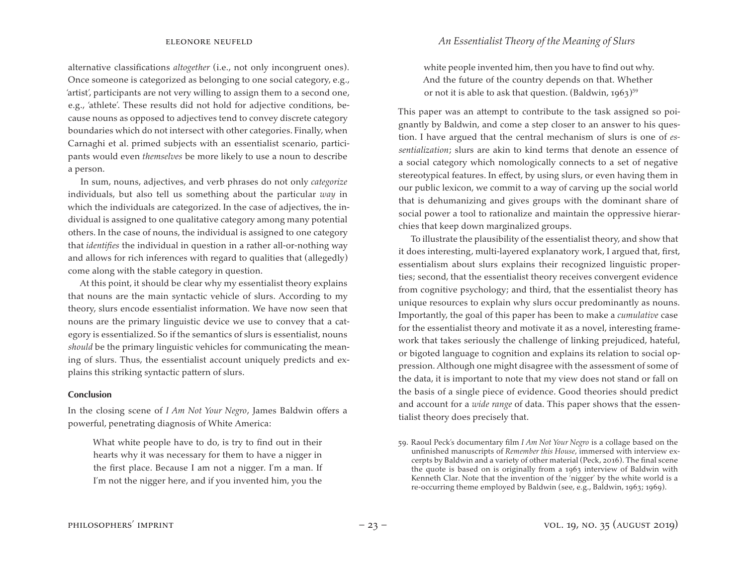alternative classifications *altogether* (i.e., not only incongruent ones). Once someone is categorized as belonging to one social category, e.g., 'artist', participants are not very willing to assign them to a second one, e.g., 'athlete'. These results did not hold for adjective conditions, because nouns as opposed to adjectives tend to convey discrete category boundaries which do not intersect with other categories. Finally, when Carnaghi et al. primed subjects with an essentialist scenario, participants would even *themselves* be more likely to use a noun to describe a person.

In sum, nouns, adjectives, and verb phrases do not only *categorize* individuals, but also tell us something about the particular *way* in which the individuals are categorized. In the case of adjectives, the individual is assigned to one qualitative category among many potential others. In the case of nouns, the individual is assigned to one category that *identifies* the individual in question in a rather all-or-nothing way and allows for rich inferences with regard to qualities that (allegedly) come along with the stable category in question.

At this point, it should be clear why my essentialist theory explains that nouns are the main syntactic vehicle of slurs. According to my theory, slurs encode essentialist information. We have now seen that nouns are the primary linguistic device we use to convey that a category is essentialized. So if the semantics of slurs is essentialist, nouns *should* be the primary linguistic vehicles for communicating the meaning of slurs. Thus, the essentialist account uniquely predicts and explains this striking syntactic pattern of slurs.

#### **Conclusion**

In the closing scene of *I Am Not Your Negro*, James Baldwin offers a powerful, penetrating diagnosis of White America:

What white people have to do, is try to find out in their hearts why it was necessary for them to have a nigger in the first place. Because I am not a nigger. I'm a man. If I'm not the nigger here, and if you invented him, you the

white people invented him, then you have to find out why. And the future of the country depends on that. Whether or not it is able to ask that question. (Baldwin,  $1963$ )<sup>59</sup>

This paper was an attempt to contribute to the task assigned so poignantly by Baldwin, and come a step closer to an answer to his question. I have argued that the central mechanism of slurs is one of *essentialization*; slurs are akin to kind terms that denote an essence of a social category which nomologically connects to a set of negative stereotypical features. In effect, by using slurs, or even having them in our public lexicon, we commit to a way of carving up the social world that is dehumanizing and gives groups with the dominant share of social power a tool to rationalize and maintain the oppressive hierarchies that keep down marginalized groups.

To illustrate the plausibility of the essentialist theory, and show that it does interesting, multi-layered explanatory work, I argued that, first, essentialism about slurs explains their recognized linguistic properties; second, that the essentialist theory receives convergent evidence from cognitive psychology; and third, that the essentialist theory has unique resources to explain why slurs occur predominantly as nouns. Importantly, the goal of this paper has been to make a *cumulative* case for the essentialist theory and motivate it as a novel, interesting framework that takes seriously the challenge of linking prejudiced, hateful, or bigoted language to cognition and explains its relation to social oppression. Although one might disagree with the assessment of some of the data, it is important to note that my view does not stand or fall on the basis of a single piece of evidence. Good theories should predict and account for a *wide range* of data. This paper shows that the essentialist theory does precisely that.

<sup>59.</sup> Raoul Peck's documentary film *I Am Not Your Negro* is a collage based on the unfinished manuscripts of *Remember this House*, immersed with interview excerpts by Baldwin and a variety of other material (Peck, 2016). The final scene the quote is based on is originally from a 1963 interview of Baldwin with Kenneth Clar. Note that the invention of the 'nigger' by the white world is a re-occurring theme employed by Baldwin (see, e.g., Baldwin, 1963; 1969).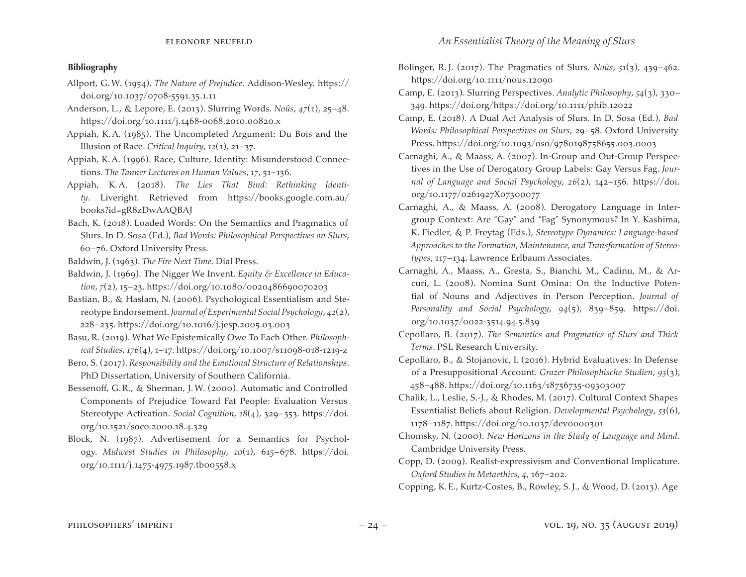### **Bibliography**

- Allport, G.W. (1954). *The Nature of Prejudice*. Addison-Wesley. https:// doi.org/10.1037/0708-5591.35.1.11
- Anderson, L., & Lepore, E. (2013). Slurring Words. *Noûs*, *47*(1), 25–48. https://doi.org/10.1111/j.1468-0068.2010.00820.x
- Appiah, K.A. (1985). The Uncompleted Argument: Du Bois and the Illusion of Race. *Critical Inquiry*, *12*(1), 21–37.
- Appiah, K.A. (1996). Race, Culture, Identity: Misunderstood Connections. *The Tanner Lectures on Human Values*, *17*, 51–136.
- Appiah, K.A. (2018). *The Lies That Bind: Rethinking Identity*. Liveright. Retrieved from https://books.google.com.au/ books?id=gR8zDwAAQBAJ
- Bach, K. (2018). Loaded Words: On the Semantics and Pragmatics of Slurs. In D. Sosa (Ed.), *Bad Words: Philosophical Perspectives on Slurs*, 60–76. Oxford University Press.
- Baldwin, J. (1963). *The Fire Next Time*. Dial Press.
- Baldwin, J. (1969). The Nigger We Invent. *Equity & Excellence in Education*, *7*(2), 15–23. https://doi.org/10.1080/0020486690070203
- Bastian, B., & Haslam, N. (2006). Psychological Essentialism and Stereotype Endorsement.*Journal of Experimental Social Psychology*, *42*(2), 228–235. https://doi.org/10.1016/j.jesp.2005.03.003
- Basu, R. (2019). What We Epistemically Owe To Each Other. *Philosophical Studies*, *176*(4), 1–17. https://doi.org/10.1007/s11098-018-1219-z
- Bero, S. (2017). *Responsibility and the Emotional Structure of Relationships*. PhD Dissertation, University of Southern California.
- Bessenoff, G.R., & Sherman, J.W. (2000). Automatic and Controlled Components of Prejudice Toward Fat People: Evaluation Versus Stereotype Activation. *Social Cognition*, *18*(4), 329–353. https://doi. org/10.1521/soco.2000.18.4.329
- Block, N. (1987). Advertisement for a Semantics for Psychology. *Midwest Studies in Philosophy*, *10*(1), 615–678. https://doi. org/10.1111/j.1475-4975.1987.tb00558.x
- Bolinger, R.J. (2017). The Pragmatics of Slurs. *Noûs*, *51*(3), 439–462. https://doi.org/10.1111/nous.12090
- Camp, E. (2013). Slurring Perspectives. *Analytic Philosophy*, *54*(3), 330– 349. https://doi.org/https://doi.org/10.1111/phib.12022
- Camp, E. (2018). A Dual Act Analysis of Slurs. In D. Sosa (Ed.), *Bad Words: Philosophical Perspectives on Slurs*, 29–58. Oxford University Press. https://doi.org/10.1093/0so/9780198758655.003.0003
- Carnaghi, A., & Maass, A. (2007). In-Group and Out-Group Perspectives in the Use of Derogatory Group Labels: Gay Versus Fag. *Journal of Language and Social Psychology*, *26*(2), 142–156. https://doi. org/10.1177/0261927X07300077
- Carnaghi, A., & Maass, A. (2008). Derogatory Language in Intergroup Context: Are "Gay" and "Fag" Synonymous? In Y. Kashima, K. Fiedler, & P. Freytag (Eds.), *Stereotype Dynamics: Language-based Approaches to the Formation, Maintenance, and Transformation of Stereotypes*, 117–134. Lawrence Erlbaum Associates.
- Carnaghi, A., Maass, A., Gresta, S., Bianchi, M., Cadinu, M., & Arcuri, L. (2008). Nomina Sunt Omina: On the Inductive Potential of Nouns and Adjectives in Person Perception. *Journal of Personality and Social Psychology*, *94*(5), 839–859. https://doi. org/10.1037/0022-3514.94.5.839
- Cepollaro, B. (2017). *The Semantics and Pragmatics of Slurs and Thick Terms*. PSL Research University.
- Cepollaro, B., & Stojanovic, I. (2016). Hybrid Evaluatives: In Defense of a Presuppositional Account. *Grazer Philosophische Studien*, *93*(3), 458–488. https://doi.org/10.1163/18756735-09303007
- Chalik, L., Leslie, S.-J., & Rhodes, M. (2017). Cultural Context Shapes Essentialist Beliefs about Religion. *Developmental Psychology*, *53*(6), 1178–1187. https://doi.org/10.1037/dev0000301
- Chomsky, N. (2000). *New Horizons in the Study of Language and Mind*. Cambridge University Press.
- Copp, D. (2009). Realist-expressivism and Conventional Implicature. *Oxford Studies in Metaethics*, *4*, 167–202.

Copping, K.E., Kurtz-Costes, B., Rowley, S.J., & Wood, D. (2013). Age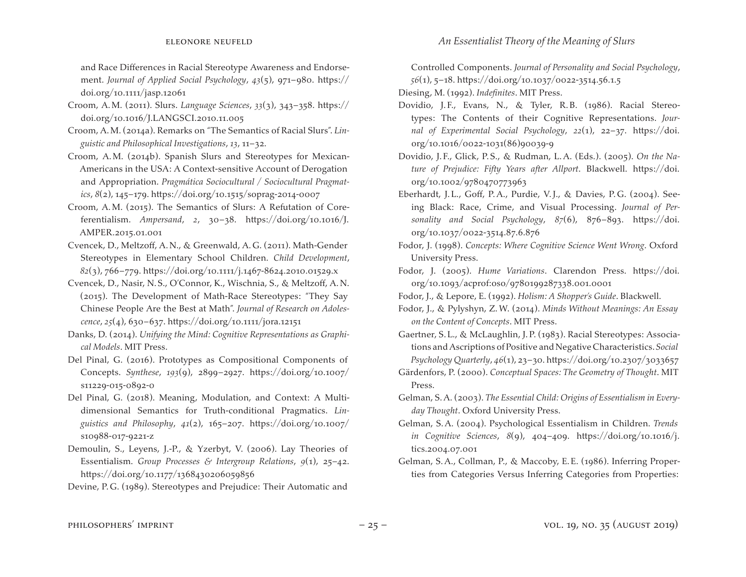and Race Differences in Racial Stereotype Awareness and Endorsement. *Journal of Applied Social Psychology*, *43*(5), 971–980. https:// doi.org/10.1111/jasp.12061

- Croom, A.M. (2011). Slurs. *Language Sciences*, *33*(3), 343–358. https:// doi.org/10.1016/J.LANGSCI.2010.11.005
- Croom, A.M. (2014a). Remarks on "The Semantics of Racial Slurs". *Linguistic and Philosophical Investigations*, *13*, 11–32.
- Croom, A.M. (2014b). Spanish Slurs and Stereotypes for Mexican-Americans in the USA: A Context-sensitive Account of Derogation and Appropriation. *Pragmática Sociocultural / Sociocultural Pragmatics*, *8*(2), 145–179. https://doi.org/10.1515/soprag-2014-0007
- Croom, A.M. (2015). The Semantics of Slurs: A Refutation of Coreferentialism. *Ampersand*, *2*, 30–38. https://doi.org/10.1016/J. AMPER.2015.01.001
- Cvencek, D., Meltzoff, A.N., & Greenwald, A.G. (2011). Math-Gender Stereotypes in Elementary School Children. *Child Development*, *82*(3), 766–779. https://doi.org/10.1111/j.1467-8624.2010.01529.x
- Cvencek, D., Nasir, N.S., O'Connor, K., Wischnia, S., & Meltzoff, A.N. (2015). The Development of Math-Race Stereotypes: "They Say Chinese People Are the Best at Math". *Journal of Research on Adolescence*, *25*(4), 630–637. https://doi.org/10.1111/jora.12151
- Danks, D. (2014). *Unifying the Mind: Cognitive Representations as Graphical Models*. MIT Press.
- Del Pinal, G. (2016). Prototypes as Compositional Components of Concepts. *Synthese*, *193*(9), 2899–2927. https://doi.org/10.1007/ s11229-015-0892-0
- Del Pinal, G. (2018). Meaning, Modulation, and Context: A Multidimensional Semantics for Truth-conditional Pragmatics. *Linguistics and Philosophy*, *41*(2), 165–207. https://doi.org/10.1007/ s10988-017-9221-z
- Demoulin, S., Leyens, J.-P., & Yzerbyt, V. (2006). Lay Theories of Essentialism. *Group Processes & Intergroup Relations*, *9*(1), 25–42. https://doi.org/10.1177/1368430206059856

Devine, P.G. (1989). Stereotypes and Prejudice: Their Automatic and

Controlled Components. *Journal of Personality and Social Psychology*, *56*(1), 5–18. https://doi.org/10.1037/0022-3514.56.1.5

Diesing, M. (1992). *Indefinites*. MIT Press.

- Dovidio, J.F., Evans, N., & Tyler, R.B. (1986). Racial Stereotypes: The Contents of their Cognitive Representations. *Journal of Experimental Social Psychology*, *22*(1), 22–37. https://doi. org/10.1016/0022-1031(86)90039-9
- Dovidio, J. F., Glick, P.S., & Rudman, L.A. (Eds.). (2005). *On the Nature of Prejudice: Fifty Years after Allport*. Blackwell. https://doi. org/10.1002/9780470773963
- Eberhardt, J.L., Goff, P.A., Purdie, V.J., & Davies, P.G. (2004). Seeing Black: Race, Crime, and Visual Processing. *Journal of Personality and Social Psychology*, *87*(6), 876–893. https://doi. org/10.1037/0022-3514.87.6.876
- Fodor, J. (1998). *Concepts: Where Cognitive Science Went Wrong*. Oxford University Press.
- Fodor, J. (2005). *Hume Variations*. Clarendon Press. https://doi. org/10.1093/acprof:oso/9780199287338.001.0001
- Fodor, J., & Lepore, E. (1992). *Holism: A Shopper's Guide*. Blackwell.
- Fodor, J., & Pylyshyn, Z.W. (2014). *Minds Without Meanings: An Essay on the Content of Concepts*. MIT Press.
- Gaertner, S.L., & McLaughlin, J.P. (1983). Racial Stereotypes: Associations and Ascriptions of Positive andNegative Characteristics.*Social Psychology Quarterly*, *46*(1), 23–30. https://doi.org/10.2307/3033657
- Gärdenfors, P. (2000). *Conceptual Spaces: The Geometry of Thought*. MIT Press.
- Gelman, S.A. (2003). *The Essential Child: Origins of Essentialism in Everyday Thought*. Oxford University Press.
- Gelman, S.A. (2004). Psychological Essentialism in Children. *Trends in Cognitive Sciences*, *8*(9), 404–409. https://doi.org/10.1016/j. tics.2004.07.001
- Gelman, S.A., Collman, P., & Maccoby, E.E. (1986). Inferring Properties from Categories Versus Inferring Categories from Properties: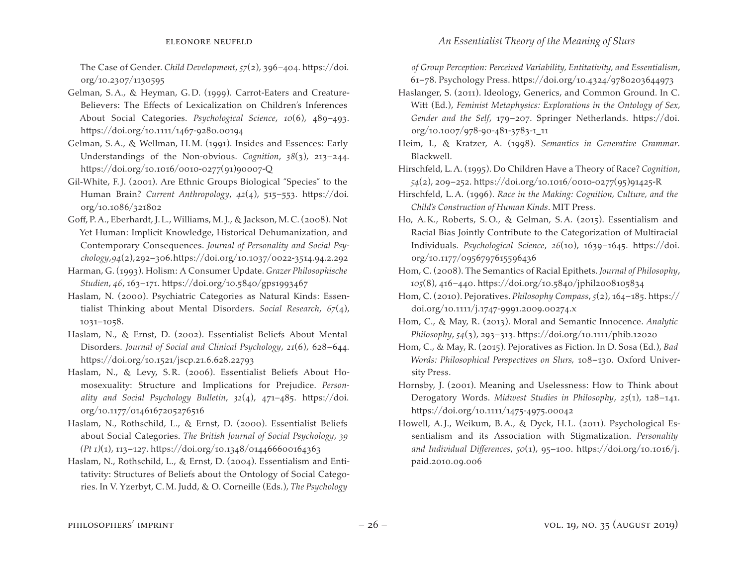The Case of Gender. *Child Development*, *57*(2), 396–404. https://doi. org/10.2307/1130595

- Gelman, S.A., & Heyman, G.D. (1999). Carrot-Eaters and Creature-Believers: The Effects of Lexicalization on Children's Inferences About Social Categories. *Psychological Science*, *10*(6), 489–493. https://doi.org/10.1111/1467-9280.00194
- Gelman, S.A., & Wellman, H.M. (1991). Insides and Essences: Early Understandings of the Non-obvious. *Cognition*, *38*(3), 213–244. https://doi.org/10.1016/0010-0277(91)90007-Q
- Gil‐White, F.J. (2001). Are Ethnic Groups Biological "Species" to the Human Brain? *Current Anthropology*, *42*(4), 515–553. https://doi. org/10.1086/321802
- Goff, P.A., Eberhardt, J.L., Williams, M.J., & Jackson, M.C.(2008). Not Yet Human: Implicit Knowledge, Historical Dehumanization, and Contemporary Consequences. *Journal of Personality and Social Psychology*, *94*(2),292–306.https://doi.org/10.1037/0022-3514.94.2.292
- Harman, G. (1993). Holism: A Consumer Update. *Grazer Philosophische Studien*, *46*, 163–171. https://doi.org/10.5840/gps1993467
- Haslam, N. (2000). Psychiatric Categories as Natural Kinds: Essentialist Thinking about Mental Disorders. *Social Research*, *67*(4), 1031–1058.
- Haslam, N., & Ernst, D. (2002). Essentialist Beliefs About Mental Disorders. *Journal of Social and Clinical Psychology*, *21*(6), 628–644. https://doi.org/10.1521/jscp.21.6.628.22793
- Haslam, N., & Levy, S.R. (2006). Essentialist Beliefs About Homosexuality: Structure and Implications for Prejudice. *Personality and Social Psychology Bulletin*, *32*(4), 471–485. https://doi. org/10.1177/0146167205276516
- Haslam, N., Rothschild, L., & Ernst, D. (2000). Essentialist Beliefs about Social Categories. *The British Journal of Social Psychology*, *39 (Pt 1)*(1), 113–127. https://doi.org/10.1348/014466600164363
- Haslam, N., Rothschild, L., & Ernst, D. (2004). Essentialism and Entitativity: Structures of Beliefs about the Ontology of Social Categories. In V. Yzerbyt, C.M. Judd, & O. Corneille (Eds.), *The Psychology*

*of Group Perception: Perceived Variability, Entitativity, and Essentialism*, 61–78. Psychology Press. https://doi.org/10.4324/9780203644973

- Haslanger, S. (2011). Ideology, Generics, and Common Ground. In C. Witt (Ed.), *Feminist Metaphysics: Explorations in the Ontology of Sex, Gender and the Self*, 179–207. Springer Netherlands. https://doi. org/10.1007/978-90-481-3783-1\_11
- Heim, I., & Kratzer, A. (1998). *Semantics in Generative Grammar*. Blackwell.
- Hirschfeld, L.A. (1995). Do Children Have a Theory of Race? *Cognition*, *54*(2), 209–252. https://doi.org/10.1016/0010-0277(95)91425-R
- Hirschfeld, L.A. (1996). *Race in the Making: Cognition, Culture, and the Child's Construction of Human Kinds*. MIT Press.
- Ho, A.K., Roberts, S.O., & Gelman, S.A. (2015). Essentialism and Racial Bias Jointly Contribute to the Categorization of Multiracial Individuals. *Psychological Science*, *26*(10), 1639–1645. https://doi. org/10.1177/0956797615596436
- Hom, C. (2008). The Semantics of Racial Epithets. *Journal of Philosophy*, *105*(8), 416–440. https://doi.org/10.5840/jphil2008105834
- Hom, C. (2010). Pejoratives. *Philosophy Compass*, *5*(2), 164–185. https:// doi.org/10.1111/j.1747-9991.2009.00274.x
- Hom, C., & May, R. (2013). Moral and Semantic Innocence. *Analytic Philosophy*, *54*(3), 293–313. https://doi.org/10.1111/phib.12020
- Hom, C., & May, R. (2015). Pejoratives as Fiction. In D. Sosa (Ed.), *Bad Words: Philosophical Perspectives on Slurs,* 108–130. Oxford University Press.
- Hornsby, J. (2001). Meaning and Uselessness: How to Think about Derogatory Words. *Midwest Studies in Philosophy*, *25*(1), 128–141. https://doi.org/10.1111/1475-4975.00042
- Howell, A.J., Weikum, B.A., & Dyck, H.L. (2011). Psychological Essentialism and its Association with Stigmatization. *Personality and Individual Differences*, *50*(1), 95–100. https://doi.org/10.1016/j. paid.2010.09.006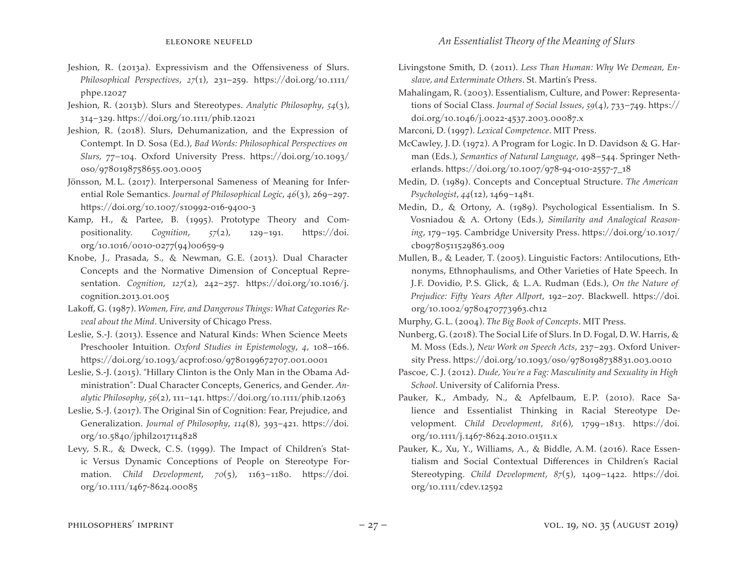- Jeshion, R. (2013a). Expressivism and the Offensiveness of Slurs. *Philosophical Perspectives*, *27*(1), 231–259. https://doi.org/10.1111/ phpe.12027
- Jeshion, R. (2013b). Slurs and Stereotypes. *Analytic Philosophy*, *54*(3), 314–329. https://doi.org/10.1111/phib.12021
- Jeshion, R. (2018). Slurs, Dehumanization, and the Expression of Contempt. In D. Sosa (Ed.), *Bad Words: Philosophical Perspectives on Slurs,* 77–104. Oxford University Press. https://doi.org/10.1093/ oso/9780198758655.003.0005
- Jönsson, M.L. (2017). Interpersonal Sameness of Meaning for Inferential Role Semantics. *Journal of Philosophical Logic*, *46*(3), 269–297. https://doi.org/10.1007/s10992-016-9400-3
- Kamp, H., & Partee, B. (1995). Prototype Theory and Compositionality. *Cognition*, *57*(2), 129–191. https://doi. org/10.1016/0010-0277(94)00659-9
- Knobe, J., Prasada, S., & Newman, G.E. (2013). Dual Character Concepts and the Normative Dimension of Conceptual Representation. *Cognition*, *127*(2), 242–257. https://doi.org/10.1016/j. cognition.2013.01.005
- Lakoff, G. (1987). *Women, Fire, and Dangerous Things: What Categories Reveal about the Mind*. University of Chicago Press.
- Leslie, S.-J. (2013). Essence and Natural Kinds: When Science Meets Preschooler Intuition. *Oxford Studies in Epistemology*, *4*, 108–166. https://doi.org/10.1093/acprof:oso/9780199672707.001.0001
- Leslie, S.-J. (2015). "Hillary Clinton is the Only Man in the Obama Administration": Dual Character Concepts, Generics, and Gender. *Analytic Philosophy*, *56*(2), 111–141. https://doi.org/10.1111/phib.12063
- Leslie, S.-J. (2017). The Original Sin of Cognition: Fear, Prejudice, and Generalization. *Journal of Philosophy*, *114*(8), 393–421. https://doi. org/10.5840/jphil2017114828
- Levy, S.R., & Dweck, C.S. (1999). The Impact of Children's Static Versus Dynamic Conceptions of People on Stereotype Formation. *Child Development*, *70*(5), 1163–1180. https://doi. org/10.1111/1467-8624.00085
- Livingstone Smith, D. (2011). *Less Than Human: Why We Demean, Enslave, and Exterminate Others*. St. Martin's Press.
- Mahalingam, R. (2003). Essentialism, Culture, and Power: Representations of Social Class. *Journal of Social Issues*, *59*(4), 733–749. https:// doi.org/10.1046/j.0022-4537.2003.00087.x

Marconi, D. (1997). *Lexical Competence*. MIT Press.

- McCawley, J.D. (1972). A Program for Logic. In D. Davidson & G. Harman (Eds.), *Semantics of Natural Language*, 498–544. Springer Netherlands. https://doi.org/10.1007/978-94-010-2557-7\_18
- Medin, D. (1989). Concepts and Conceptual Structure. *The American Psychologist*, *44*(12), 1469–1481.
- Medin, D., & Ortony, A. (1989). Psychological Essentialism. In S. Vosniadou & A. Ortony (Eds.), *Similarity and Analogical Reasoning*, 179–195. Cambridge University Press. https://doi.org/10.1017/ cbo9780511529863.009
- Mullen, B., & Leader, T. (2005). Linguistic Factors: Antilocutions, Ethnonyms, Ethnophaulisms, and Other Varieties of Hate Speech. In J. F. Dovidio, P.S. Glick, & L.A. Rudman (Eds.), *On the Nature of Prejudice: Fifty Years After Allport*, 192–207. Blackwell. https://doi. org/10.1002/9780470773963.ch12

Murphy, G.L. (2004). *The Big Book of Concepts*. MIT Press.

- Nunberg, G.(2018). The Social Life of Slurs. In D. Fogal, D.W. Harris, & M. Moss (Eds.), *New Work on Speech Acts*, 237–293. Oxford University Press. https://doi.org/10.1093/oso/9780198738831.003.0010
- Pascoe, C.J. (2012). *Dude, You're a Fag: Masculinity and Sexuality in High School*. University of California Press.
- Pauker, K., Ambady, N., & Apfelbaum, E.P. (2010). Race Salience and Essentialist Thinking in Racial Stereotype Development. *Child Development*, *81*(6), 1799–1813. https://doi. org/10.1111/j.1467-8624.2010.01511.x
- Pauker, K., Xu, Y., Williams, A., & Biddle, A.M. (2016). Race Essentialism and Social Contextual Differences in Children's Racial Stereotyping. *Child Development*, *87*(5), 1409–1422. https://doi. org/10.1111/cdev.12592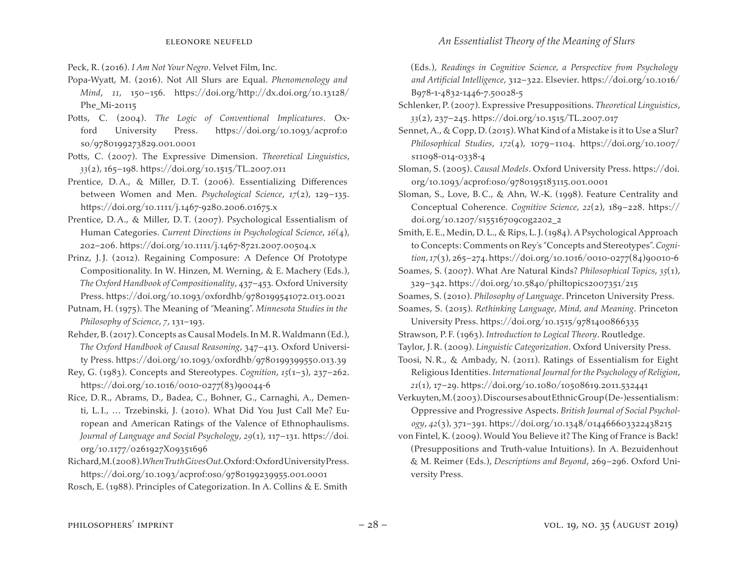- Peck, R. (2016). *I Am Not Your Negro*. Velvet Film, Inc.
- Popa-Wyatt, M. (2016). Not All Slurs are Equal. *Phenomenology and Mind*, *11*, 150–156. https://doi.org/http://dx.doi.org/10.13128/ Phe\_Mi-20115
- Potts, C. (2004). *The Logic of Conventional Implicatures*. Oxford University Press. https://doi.org/10.1093/acprof:o so/9780199273829.001.0001
- Potts, C. (2007). The Expressive Dimension. *Theoretical Linguistics*, *33*(2), 165–198. https://doi.org/10.1515/TL.2007.011
- Prentice, D.A., & Miller, D.T. (2006). Essentializing Differences between Women and Men. *Psychological Science*, *17*(2), 129–135. https://doi.org/10.1111/j.1467-9280.2006.01675.x
- Prentice, D.A., & Miller, D.T. (2007). Psychological Essentialism of Human Categories. *Current Directions in Psychological Science*, *16*(4), 202–206. https://doi.org/10.1111/j.1467-8721.2007.00504.x
- Prinz, J.J. (2012). Regaining Composure: A Defence Of Prototype Compositionality. In W. Hinzen, M. Werning, & E. Machery (Eds.), *The Oxford Handbook of Compositionality*, 437–453*.* Oxford University Press. https://doi.org/10.1093/oxfordhb/9780199541072.013.0021
- Putnam, H. (1975). The Meaning of "Meaning". *Minnesota Studies in the Philosophy of Science*, *7*, 131–193.
- Rehder,B.(2017).Concepts as Causal Models.In M.R.Waldmann (Ed.), *The Oxford Handbook of Causal Reasoning*, 347–413. Oxford University Press. https://doi.org/10.1093/oxfordhb/9780199399550.013.39
- Rey, G. (1983). Concepts and Stereotypes. *Cognition*, *15*(1–3), 237–262. https://doi.org/10.1016/0010-0277(83)90044-6
- Rice, D.R., Abrams, D., Badea, C., Bohner, G., Carnaghi, A., Dementi, L.I., … Trzebinski, J. (2010). What Did You Just Call Me? European and American Ratings of the Valence of Ethnophaulisms. *Journal of Language and Social Psychology*, *29*(1), 117–131. https://doi. org/10.1177/0261927X09351696
- Richard,M.(2008).*When Truth Gives Out*.Oxford:OxfordUniversityPress. https://doi.org/10.1093/acprof:oso/9780199239955.001.0001
- Rosch, E. (1988). Principles of Categorization. In A. Collins & E. Smith
- (Eds.), *Readings in Cognitive Science, a Perspective from Psychology and Artificial Intelligence*, 312–322. Elsevier. https://doi.org/10.1016/ B978-1-4832-1446-7.50028-5
- Schlenker, P.(2007). Expressive Presuppositions. *Theoretical Linguistics*, *33*(2), 237–245. https://doi.org/10.1515/TL.2007.017
- Sennet, A., & Copp, D. (2015). What Kind of a Mistake is it to Use a Slur? *Philosophical Studies*, *172*(4), 1079–1104. https://doi.org/10.1007/ s11098-014-0338-4
- Sloman, S. (2005). *Causal Models*. Oxford University Press. https://doi. org/10.1093/acprof:oso/9780195183115.001.0001
- Sloman, S., Love, B.C., & Ahn, W.-K. (1998). Feature Centrality and Conceptual Coherence. *Cognitive Science*, *22*(2), 189–228. https:// doi.org/10.1207/s15516709cog2202\_2
- Smith, E.E., Medin, D.L., & Rips, L.J. (1984). A Psychological Approach to Concepts: Comments on Rey's "Concepts and Stereotypes".*Cognition*, *17*(3), 265–274.https://doi.org/10.1016/0010-0277(84)90010-6
- Soames, S. (2007). What Are Natural Kinds? *Philosophical Topics*, *35*(1), 329–342. https://doi.org/10.5840/philtopics2007351/215
- Soames, S. (2010). *Philosophy of Language*. Princeton University Press.
- Soames, S. (2015). *Rethinking Language, Mind, and Meaning*. Princeton
- University Press. https://doi.org/10.1515/9781400866335
- Strawson, P. F. (1963). *Introduction to Logical Theory*. Routledge.
- Taylor, J.R. (2009). *Linguistic Categorization*. Oxford University Press.
- Toosi, N.R., & Ambady, N. (2011). Ratings of Essentialism for Eight Religious Identities. *International Journal for the Psychology of Religion*, *21*(1), 17–29. https://doi.org/10.1080/10508619.2011.532441
- Verkuyten,M.(2003).DiscoursesaboutEthnicGroup(De-)essentialism: Oppressive and Progressive Aspects. *British Journal of Social Psychology*, *42*(3), 371–391. https://doi.org/10.1348/014466603322438215
- von Fintel, K.(2009). Would You Believe it? The King of France is Back! (Presuppositions and Truth-value Intuitions). In A. Bezuidenhout & M. Reimer (Eds.), *Descriptions and Beyond*, 269–296. Oxford University Press.